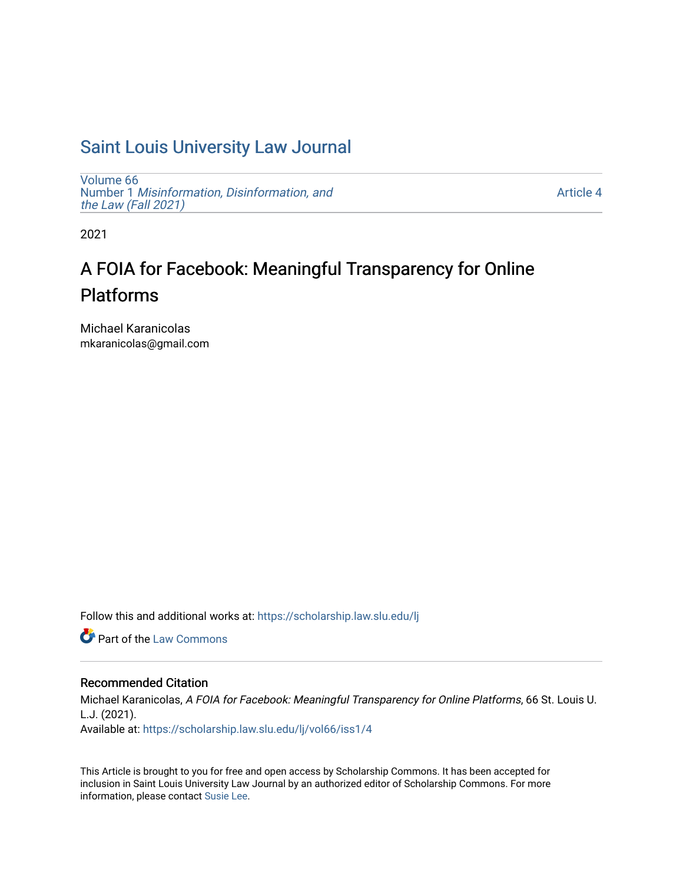## [Saint Louis University Law Journal](https://scholarship.law.slu.edu/lj)

[Volume 66](https://scholarship.law.slu.edu/lj/vol66) Number 1 [Misinformation, Disinformation, and](https://scholarship.law.slu.edu/lj/vol66/iss1)  [the Law \(Fall 2021\)](https://scholarship.law.slu.edu/lj/vol66/iss1)

[Article 4](https://scholarship.law.slu.edu/lj/vol66/iss1/4) 

2021

# A FOIA for Facebook: Meaningful Transparency for Online Platforms

Michael Karanicolas mkaranicolas@gmail.com

Follow this and additional works at: [https://scholarship.law.slu.edu/lj](https://scholarship.law.slu.edu/lj?utm_source=scholarship.law.slu.edu%2Flj%2Fvol66%2Fiss1%2F4&utm_medium=PDF&utm_campaign=PDFCoverPages) 

**C** Part of the [Law Commons](http://network.bepress.com/hgg/discipline/578?utm_source=scholarship.law.slu.edu%2Flj%2Fvol66%2Fiss1%2F4&utm_medium=PDF&utm_campaign=PDFCoverPages)

## Recommended Citation

Michael Karanicolas, A FOIA for Facebook: Meaningful Transparency for Online Platforms, 66 St. Louis U. L.J. (2021). Available at: [https://scholarship.law.slu.edu/lj/vol66/iss1/4](https://scholarship.law.slu.edu/lj/vol66/iss1/4?utm_source=scholarship.law.slu.edu%2Flj%2Fvol66%2Fiss1%2F4&utm_medium=PDF&utm_campaign=PDFCoverPages) 

This Article is brought to you for free and open access by Scholarship Commons. It has been accepted for inclusion in Saint Louis University Law Journal by an authorized editor of Scholarship Commons. For more information, please contact [Susie Lee](mailto:susie.lee@slu.edu).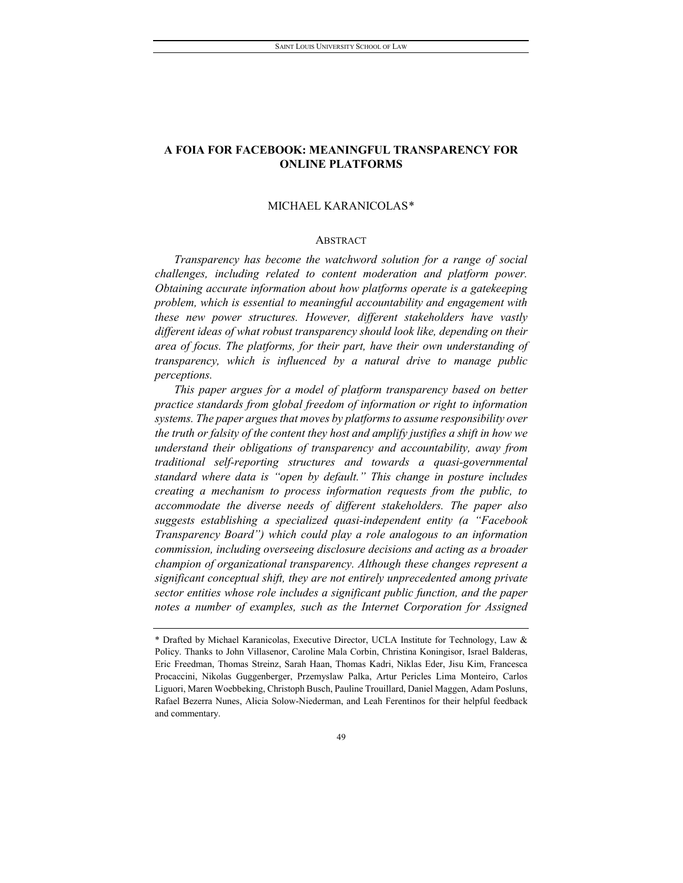## **A FOIA FOR FACEBOOK: MEANINGFUL TRANSPARENCY FOR ONLINE PLATFORMS**

## MICHAEL KARANICOLAS[\\*](#page-1-0)

## ABSTRACT

*Transparency has become the watchword solution for a range of social challenges, including related to content moderation and platform power. Obtaining accurate information about how platforms operate is a gatekeeping problem, which is essential to meaningful accountability and engagement with these new power structures. However, different stakeholders have vastly different ideas of what robust transparency should look like, depending on their area of focus. The platforms, for their part, have their own understanding of transparency, which is influenced by a natural drive to manage public perceptions.*

*This paper argues for a model of platform transparency based on better practice standards from global freedom of information or right to information systems. The paper argues that moves by platforms to assume responsibility over the truth or falsity of the content they host and amplify justifies a shift in how we understand their obligations of transparency and accountability, away from traditional self-reporting structures and towards a quasi-governmental standard where data is "open by default." This change in posture includes creating a mechanism to process information requests from the public, to accommodate the diverse needs of different stakeholders. The paper also suggests establishing a specialized quasi-independent entity (a "Facebook Transparency Board") which could play a role analogous to an information commission, including overseeing disclosure decisions and acting as a broader champion of organizational transparency. Although these changes represent a significant conceptual shift, they are not entirely unprecedented among private sector entities whose role includes a significant public function, and the paper notes a number of examples, such as the Internet Corporation for Assigned* 

<span id="page-1-0"></span><sup>\*</sup> Drafted by Michael Karanicolas, Executive Director, UCLA Institute for Technology, Law & Policy. Thanks to John Villasenor, Caroline Mala Corbin, Christina Koningisor, Israel Balderas, Eric Freedman, Thomas Streinz, Sarah Haan, Thomas Kadri, Niklas Eder, Jisu Kim, Francesca Procaccini, Nikolas Guggenberger, Przemyslaw Palka, Artur Pericles Lima Monteiro, Carlos Liguori, Maren Woebbeking, Christoph Busch, Pauline Trouillard, Daniel Maggen, Adam Posluns, Rafael Bezerra Nunes, Alicia Solow-Niederman, and Leah Ferentinos for their helpful feedback and commentary.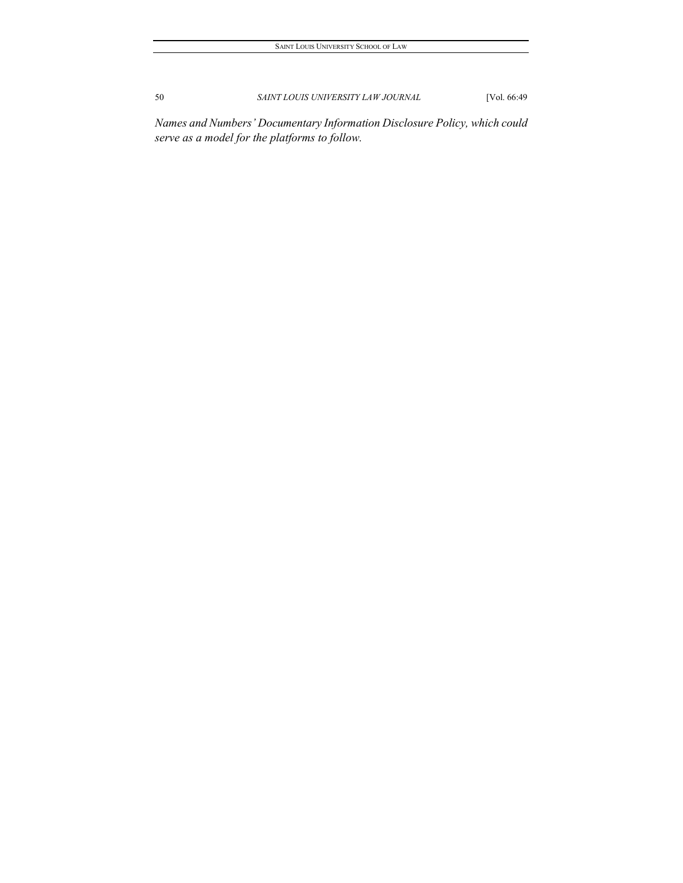*Names and Numbers' Documentary Information Disclosure Policy, which could serve as a model for the platforms to follow.*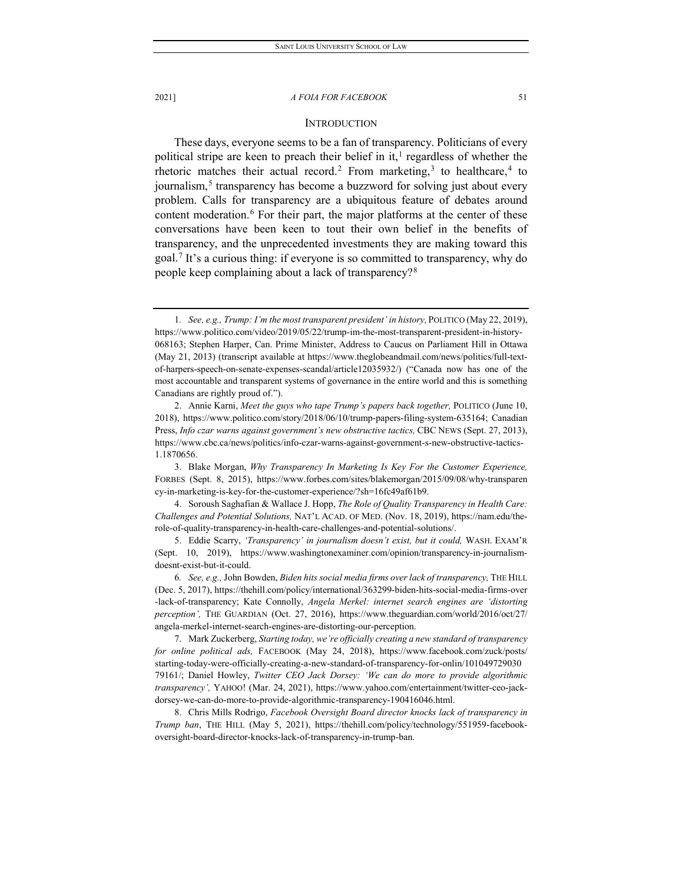#### **INTRODUCTION**

These days, everyone seems to be a fan of transparency. Politicians of every political stripe are keen to preach their belief in it,<sup>[1](#page-3-0)</sup> regardless of whether the rhetoric matches their actual record.<sup>[2](#page-3-1)</sup> From marketing,<sup>[3](#page-3-2)</sup> to healthcare,<sup>[4](#page-3-3)</sup> to journalism,<sup>[5](#page-3-4)</sup> transparency has become a buzzword for solving just about every problem. Calls for transparency are a ubiquitous feature of debates around content moderation.<sup>[6](#page-3-5)</sup> For their part, the major platforms at the center of these conversations have been keen to tout their own belief in the benefits of transparency, and the unprecedented investments they are making toward this goal.[7](#page-3-6) It's a curious thing: if everyone is so committed to transparency, why do people keep complaining about a lack of transparency?[8](#page-3-7)

<span id="page-3-0"></span><sup>1</sup>*. See, e.g., Trump: I'm the most transparent president' in history,* POLITICO (May 22, 2019), https://www.politico.com/video/2019/05/22/trump-im-the-most-transparent-president-in-history-068163; Stephen Harper, Can. Prime Minister, Address to Caucus on Parliament Hill in Ottawa (May 21, 2013) (transcript available at https://www.theglobeandmail.com/news/politics/full-textof-harpers-speech-on-senate-expenses-scandal/article12035932/) ("Canada now has one of the most accountable and transparent systems of governance in the entire world and this is something Canadians are rightly proud of.").

<span id="page-3-1"></span><sup>2.</sup> Annie Karni, *Meet the guys who tape Trump's papers back together,* POLITICO (June 10, 2018), https://www.politico.com/story/2018/06/10/trump-papers-filing-system-635164; Canadian Press, *Info czar warns against government's new obstructive tactics,* CBC NEWS (Sept. 27, 2013), https://www.cbc.ca/news/politics/info-czar-warns-against-government-s-new-obstructive-tactics-1.1870656.

<span id="page-3-2"></span><sup>3.</sup> Blake Morgan, *Why Transparency In Marketing Is Key For the Customer Experience,* FORBES (Sept. 8, 2015), https://www.forbes.com/sites/blakemorgan/2015/09/08/why-transparen cy-in-marketing-is-key-for-the-customer-experience/?sh=16fc49af61b9.

<span id="page-3-3"></span><sup>4.</sup> Soroush Saghafian & Wallace J. Hopp, *The Role of Quality Transparency in Health Care: Challenges and Potential Solutions,* NAT'L ACAD. OF MED. (Nov. 18, 2019), https://nam.edu/therole-of-quality-transparency-in-health-care-challenges-and-potential-solutions/.

<span id="page-3-4"></span><sup>5.</sup> Eddie Scarry, *'Transparency' in journalism doesn't exist, but it could,* WASH. EXAM'R (Sept. 10, 2019), https://www.washingtonexaminer.com/opinion/transparency-in-journalismdoesnt-exist-but-it-could.

<span id="page-3-5"></span><sup>6</sup>*. See, e.g.,* John Bowden, *Biden hits social media firms over lack of transparency,* THE HILL (Dec. 5, 2017), https://thehill.com/policy/international/363299-biden-hits-social-media-firms-over -lack-of-transparency; Kate Connolly, *Angela Merkel: internet search engines are 'distorting perception',* THE GUARDIAN (Oct. 27, 2016), https://www.theguardian.com/world/2016/oct/27/ angela-merkel-internet-search-engines-are-distorting-our-perception.

<span id="page-3-6"></span><sup>7.</sup> Mark Zuckerberg, *Starting today, we're officially creating a new standard of transparency for online political ads,* FACEBOOK (May 24, 2018), https://www.facebook.com/zuck/posts/ starting-today-were-officially-creating-a-new-standard-of-transparency-for-onlin/101049729030 79161/; Daniel Howley, *Twitter CEO Jack Dorsey: 'We can do more to provide algorithmic transparency',* YAHOO! (Mar. 24, 2021), https://www.yahoo.com/entertainment/twitter-ceo-jackdorsey-we-can-do-more-to-provide-algorithmic-transparency-190416046.html.

<span id="page-3-7"></span><sup>8.</sup> Chris Mills Rodrigo, *Facebook Oversight Board director knocks lack of transparency in Trump ban*, THE HILL (May 5, 2021), https://thehill.com/policy/technology/551959-facebookoversight-board-director-knocks-lack-of-transparency-in-trump-ban.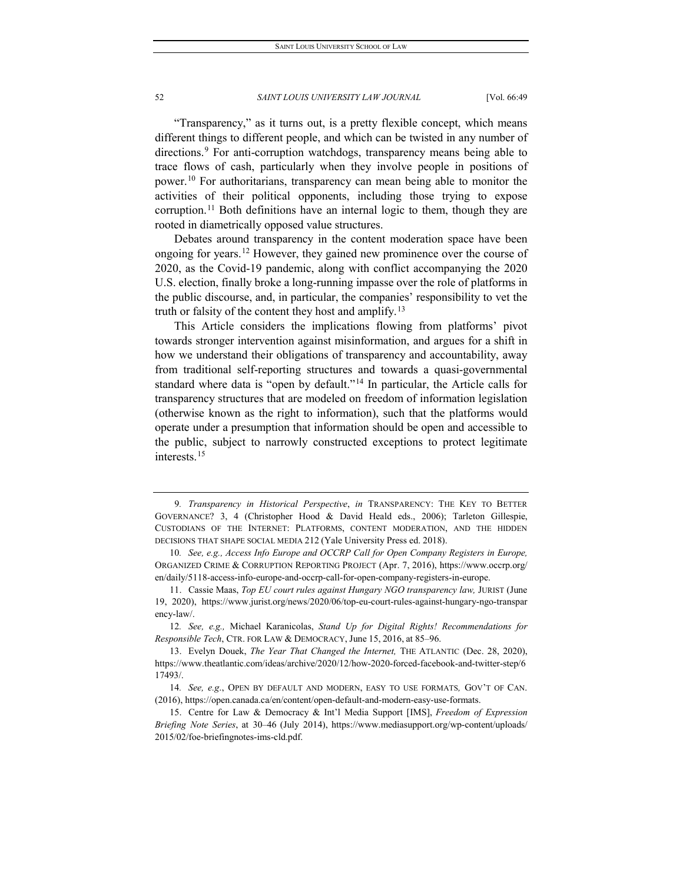"Transparency," as it turns out, is a pretty flexible concept, which means different things to different people, and which can be twisted in any number of directions.<sup>9</sup> For anti-corruption watchdogs, transparency means being able to trace flows of cash, particularly when they involve people in positions of power.<sup>[10](#page-4-1)</sup> For authoritarians, transparency can mean being able to monitor the activities of their political opponents, including those trying to expose corruption.<sup>[11](#page-4-2)</sup> Both definitions have an internal logic to them, though they are rooted in diametrically opposed value structures.

Debates around transparency in the content moderation space have been ongoing for years.<sup>[12](#page-4-3)</sup> However, they gained new prominence over the course of 2020, as the Covid-19 pandemic, along with conflict accompanying the 2020 U.S. election, finally broke a long-running impasse over the role of platforms in the public discourse, and, in particular, the companies' responsibility to vet the truth or falsity of the content they host and amplify.<sup>[13](#page-4-4)</sup>

This Article considers the implications flowing from platforms' pivot towards stronger intervention against misinformation, and argues for a shift in how we understand their obligations of transparency and accountability, away from traditional self-reporting structures and towards a quasi-governmental standard where data is "open by default."[14](#page-4-5) In particular, the Article calls for transparency structures that are modeled on freedom of information legislation (otherwise known as the right to information), such that the platforms would operate under a presumption that information should be open and accessible to the public, subject to narrowly constructed exceptions to protect legitimate interests.[15](#page-4-6)

<span id="page-4-0"></span><sup>9</sup>*. Transparency in Historical Perspective*, *in* TRANSPARENCY: THE KEY TO BETTER GOVERNANCE? 3, 4 (Christopher Hood & David Heald eds., 2006); Tarleton Gillespie, CUSTODIANS OF THE INTERNET: PLATFORMS, CONTENT MODERATION, AND THE HIDDEN DECISIONS THAT SHAPE SOCIAL MEDIA 212 (Yale University Press ed. 2018).

<span id="page-4-1"></span><sup>10</sup>*. See, e.g., Access Info Europe and OCCRP Call for Open Company Registers in Europe,* ORGANIZED CRIME & CORRUPTION REPORTING PROJECT (Apr. 7, 2016), https://www.occrp.org/ en/daily/5118-access-info-europe-and-occrp-call-for-open-company-registers-in-europe.

<span id="page-4-2"></span><sup>11.</sup> Cassie Maas, *Top EU court rules against Hungary NGO transparency law,* JURIST (June 19, 2020), https://www.jurist.org/news/2020/06/top-eu-court-rules-against-hungary-ngo-transpar ency-law/.

<span id="page-4-3"></span><sup>12</sup>*. See, e.g.,* Michael Karanicolas, *Stand Up for Digital Rights! Recommendations for Responsible Tech*, CTR. FOR LAW & DEMOCRACY, June 15, 2016, at 85–96.

<span id="page-4-4"></span><sup>13.</sup> Evelyn Douek, *The Year That Changed the Internet,* THE ATLANTIC (Dec. 28, 2020), https://www.theatlantic.com/ideas/archive/2020/12/how-2020-forced-facebook-and-twitter-step/6 17493/.

<span id="page-4-5"></span><sup>14</sup>*. See, e.g*., OPEN BY DEFAULT AND MODERN, EASY TO USE FORMATS*,* GOV'T OF CAN. (2016), https://open.canada.ca/en/content/open-default-and-modern-easy-use-formats.

<span id="page-4-6"></span><sup>15.</sup> Centre for Law & Democracy & Int'l Media Support [IMS], *Freedom of Expression Briefing Note Series*, at 30–46 (July 2014), https://www.mediasupport.org/wp-content/uploads/ 2015/02/foe-briefingnotes-ims-cld.pdf.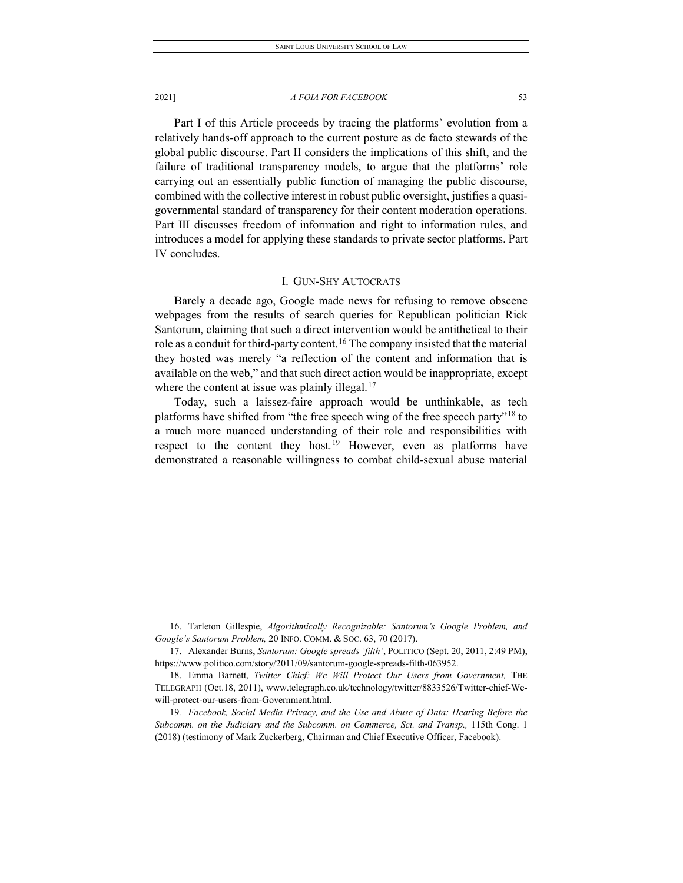Part I of this Article proceeds by tracing the platforms' evolution from a relatively hands-off approach to the current posture as de facto stewards of the global public discourse. Part II considers the implications of this shift, and the failure of traditional transparency models, to argue that the platforms' role carrying out an essentially public function of managing the public discourse, combined with the collective interest in robust public oversight, justifies a quasigovernmental standard of transparency for their content moderation operations. Part III discusses freedom of information and right to information rules, and introduces a model for applying these standards to private sector platforms. Part IV concludes.

## I. GUN-SHY AUTOCRATS

Barely a decade ago, Google made news for refusing to remove obscene webpages from the results of search queries for Republican politician Rick Santorum, claiming that such a direct intervention would be antithetical to their role as a conduit for third-party content.<sup>[16](#page-5-0)</sup> The company insisted that the material they hosted was merely "a reflection of the content and information that is available on the web," and that such direct action would be inappropriate, except where the content at issue was plainly illegal.<sup>[17](#page-5-1)</sup>

Today, such a laissez-faire approach would be unthinkable, as tech platforms have shifted from "the free speech wing of the free speech party"[18](#page-5-2) to a much more nuanced understanding of their role and responsibilities with respect to the content they host.<sup>[19](#page-5-3)</sup> However, even as platforms have demonstrated a reasonable willingness to combat child-sexual abuse material

<span id="page-5-0"></span><sup>16.</sup> Tarleton Gillespie, *Algorithmically Recognizable: Santorum's Google Problem, and Google's Santorum Problem,* 20 INFO. COMM. & SOC. 63, 70 (2017).

<span id="page-5-1"></span><sup>17.</sup> Alexander Burns, *Santorum: Google spreads 'filth'*, POLITICO (Sept. 20, 2011, 2:49 PM), https://www.politico.com/story/2011/09/santorum-google-spreads-filth-063952.

<span id="page-5-2"></span><sup>18.</sup> Emma Barnett, *Twitter Chief: We Will Protect Our Users from Government,* THE TELEGRAPH (Oct.18, 2011), www.telegraph.co.uk/technology/twitter/8833526/Twitter-chief-Wewill-protect-our-users-from-Government.html.

<span id="page-5-3"></span><sup>19</sup>*. Facebook, Social Media Privacy, and the Use and Abuse of Data: Hearing Before the Subcomm. on the Judiciary and the Subcomm. on Commerce, Sci. and Transp.,* 115th Cong. 1 (2018) (testimony of Mark Zuckerberg, Chairman and Chief Executive Officer, Facebook).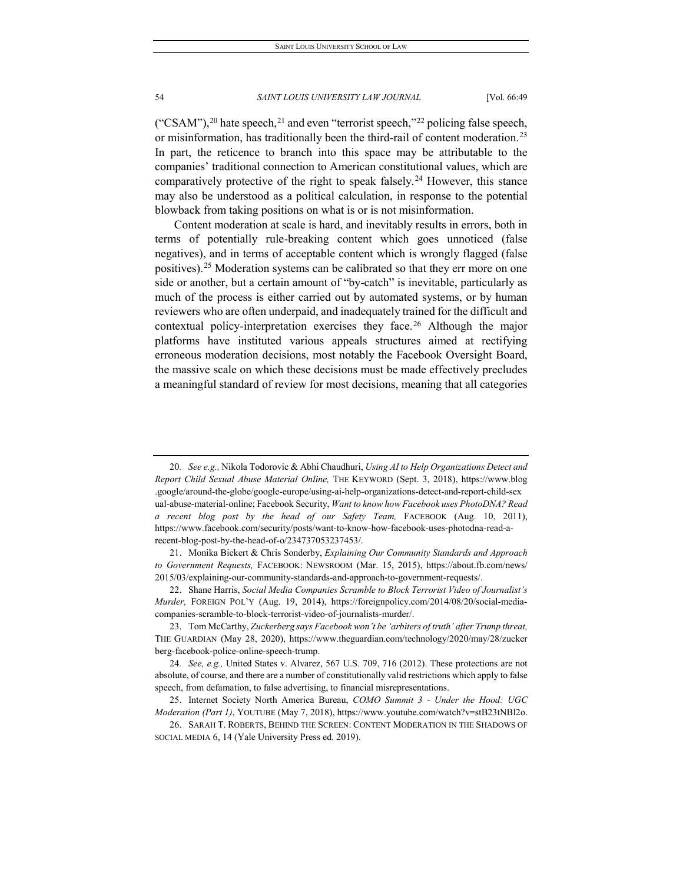("CSAM"),<sup>[20](#page-6-0)</sup> hate speech,<sup>[21](#page-6-1)</sup> and even "terrorist speech,"<sup>[22](#page-6-2)</sup> policing false speech, or misinformation, has traditionally been the third-rail of content moderation.<sup>[23](#page-6-3)</sup> In part, the reticence to branch into this space may be attributable to the companies' traditional connection to American constitutional values, which are comparatively protective of the right to speak falsely.<sup>[24](#page-6-4)</sup> However, this stance may also be understood as a political calculation, in response to the potential blowback from taking positions on what is or is not misinformation.

Content moderation at scale is hard, and inevitably results in errors, both in terms of potentially rule-breaking content which goes unnoticed (false negatives), and in terms of acceptable content which is wrongly flagged (false positives).<sup>[25](#page-6-5)</sup> Moderation systems can be calibrated so that they err more on one side or another, but a certain amount of "by-catch" is inevitable, particularly as much of the process is either carried out by automated systems, or by human reviewers who are often underpaid, and inadequately trained for the difficult and contextual policy-interpretation exercises they face.<sup>[26](#page-6-6)</sup> Although the major platforms have instituted various appeals structures aimed at rectifying erroneous moderation decisions, most notably the Facebook Oversight Board, the massive scale on which these decisions must be made effectively precludes a meaningful standard of review for most decisions, meaning that all categories

<span id="page-6-0"></span><sup>20</sup>*. See e.g.,* Nikola Todorovic & Abhi Chaudhuri, *Using AI to Help Organizations Detect and Report Child Sexual Abuse Material Online,* THE KEYWORD (Sept. 3, 2018), https://www.blog .google/around-the-globe/google-europe/using-ai-help-organizations-detect-and-report-child-sex ual-abuse-material-online; Facebook Security, *Want to know how Facebook uses PhotoDNA? Read a recent blog post by the head of our Safety Team,* FACEBOOK (Aug. 10, 2011), https://www.facebook.com/security/posts/want-to-know-how-facebook-uses-photodna-read-arecent-blog-post-by-the-head-of-o/234737053237453/.

<span id="page-6-1"></span><sup>21.</sup> Monika Bickert & Chris Sonderby, *Explaining Our Community Standards and Approach to Government Requests,* FACEBOOK: NEWSROOM (Mar. 15, 2015), https://about.fb.com/news/ 2015/03/explaining-our-community-standards-and-approach-to-government-requests/.

<span id="page-6-2"></span><sup>22.</sup> Shane Harris, *Social Media Companies Scramble to Block Terrorist Video of Journalist's Murder,* FOREIGN POL'Y (Aug. 19, 2014), https://foreignpolicy.com/2014/08/20/social-mediacompanies-scramble-to-block-terrorist-video-of-journalists-murder/.

<span id="page-6-3"></span><sup>23.</sup> Tom McCarthy, *Zuckerberg says Facebook won't be 'arbiters of truth' after Trump threat,* THE GUARDIAN (May 28, 2020), https://www.theguardian.com/technology/2020/may/28/zucker berg-facebook-police-online-speech-trump.

<span id="page-6-4"></span><sup>24</sup>*. See, e.g.,* United States v. Alvarez, 567 U.S. 709, 716 (2012). These protections are not absolute, of course, and there are a number of constitutionally valid restrictions which apply to false speech, from defamation, to false advertising, to financial misrepresentations.

<span id="page-6-5"></span><sup>25.</sup> Internet Society North America Bureau, *COMO Summit 3 - Under the Hood: UGC Moderation (Part 1)*, YOUTUBE (May 7, 2018), https://www.youtube.com/watch?v=stB23tNBl2o.

<span id="page-6-6"></span><sup>26.</sup> SARAH T. ROBERTS, BEHIND THE SCREEN: CONTENT MODERATION IN THE SHADOWS OF SOCIAL MEDIA 6, 14 (Yale University Press ed. 2019).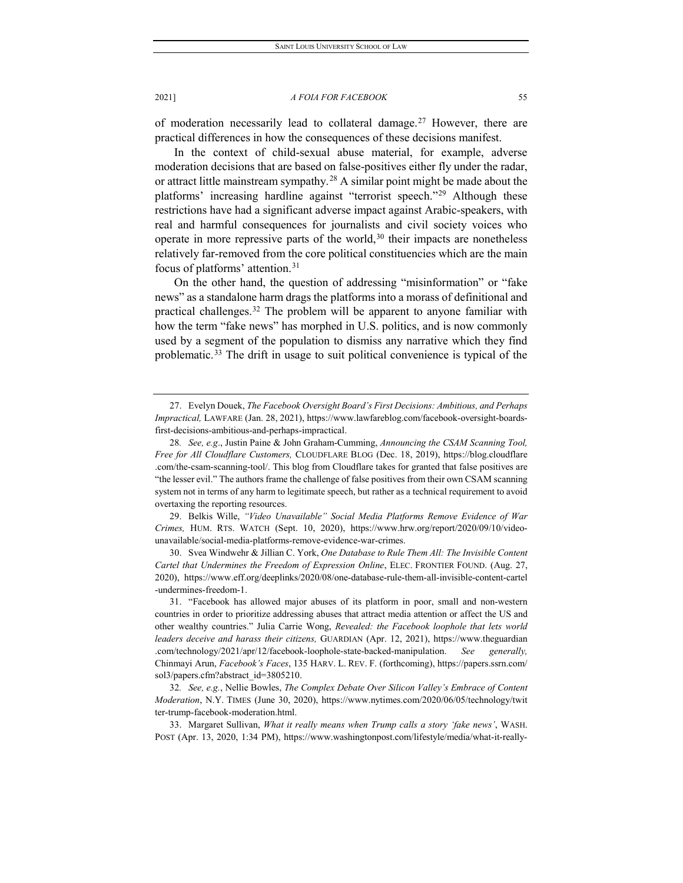of moderation necessarily lead to collateral damage.<sup>[27](#page-7-0)</sup> However, there are practical differences in how the consequences of these decisions manifest.

In the context of child-sexual abuse material, for example, adverse moderation decisions that are based on false-positives either fly under the radar, or attract little mainstream sympathy.<sup>[28](#page-7-1)</sup> A similar point might be made about the platforms' increasing hardline against "terrorist speech."[29](#page-7-2) Although these restrictions have had a significant adverse impact against Arabic-speakers, with real and harmful consequences for journalists and civil society voices who operate in more repressive parts of the world, $30$  their impacts are nonetheless relatively far-removed from the core political constituencies which are the main focus of platforms' attention.[31](#page-7-4)

On the other hand, the question of addressing "misinformation" or "fake news" as a standalone harm drags the platforms into a morass of definitional and practical challenges.<sup>32</sup> The problem will be apparent to anyone familiar with how the term "fake news" has morphed in U.S. politics, and is now commonly used by a segment of the population to dismiss any narrative which they find problematic.<sup>[33](#page-7-6)</sup> The drift in usage to suit political convenience is typical of the

<span id="page-7-2"></span>29. Belkis Wille, *"Video Unavailable" Social Media Platforms Remove Evidence of War Crimes,* HUM. RTS. WATCH (Sept. 10, 2020), https://www.hrw.org/report/2020/09/10/videounavailable/social-media-platforms-remove-evidence-war-crimes.

<span id="page-7-3"></span>30. Svea Windwehr & Jillian C. York, *One Database to Rule Them All: The Invisible Content Cartel that Undermines the Freedom of Expression Online*, ELEC. FRONTIER FOUND. (Aug. 27, 2020), https://www.eff.org/deeplinks/2020/08/one-database-rule-them-all-invisible-content-cartel -undermines-freedom-1.

<span id="page-7-0"></span><sup>27.</sup> Evelyn Douek, *The Facebook Oversight Board's First Decisions: Ambitious, and Perhaps Impractical,* LAWFARE (Jan. 28, 2021), https://www.lawfareblog.com/facebook-oversight-boardsfirst-decisions-ambitious-and-perhaps-impractical.

<span id="page-7-1"></span><sup>28</sup>*. See, e.g*., Justin Paine & John Graham-Cumming, *Announcing the CSAM Scanning Tool, Free for All Cloudflare Customers,* CLOUDFLARE BLOG (Dec. 18, 2019), https://blog.cloudflare .com/the-csam-scanning-tool/. This blog from Cloudflare takes for granted that false positives are "the lesser evil." The authors frame the challenge of false positives from their own CSAM scanning system not in terms of any harm to legitimate speech, but rather as a technical requirement to avoid overtaxing the reporting resources.

<span id="page-7-4"></span><sup>31.</sup> "Facebook has allowed major abuses of its platform in poor, small and non-western countries in order to prioritize addressing abuses that attract media attention or affect the US and other wealthy countries." Julia Carrie Wong, *Revealed: the Facebook loophole that lets world leaders deceive and harass their citizens,* GUARDIAN (Apr. 12, 2021), https://www.theguardian .com/technology/2021/apr/12/facebook-loophole-state-backed-manipulation. *See generally,* Chinmayi Arun, *Facebook's Faces*, 135 HARV. L. REV. F. (forthcoming), https://papers.ssrn.com/ sol3/papers.cfm?abstract\_id=3805210.

<span id="page-7-5"></span><sup>32</sup>*. See, e.g.*, Nellie Bowles, *The Complex Debate Over Silicon Valley's Embrace of Content Moderation*, N.Y. TIMES (June 30, 2020), https://www.nytimes.com/2020/06/05/technology/twit ter-trump-facebook-moderation.html.

<span id="page-7-6"></span><sup>33.</sup> Margaret Sullivan, *What it really means when Trump calls a story 'fake news'*, WASH. POST (Apr. 13, 2020, 1:34 PM), https://www.washingtonpost.com/lifestyle/media/what-it-really-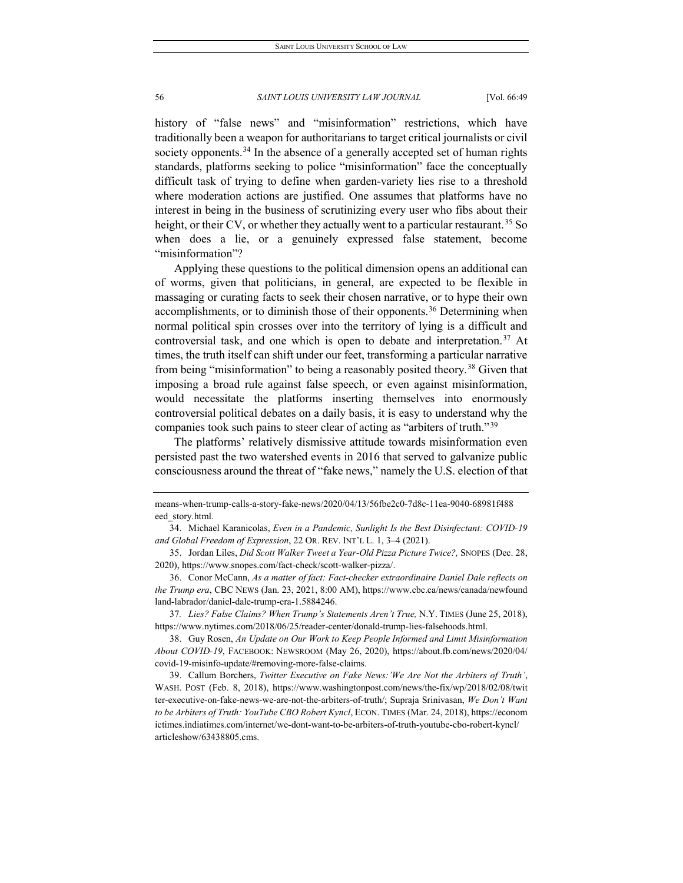history of "false news" and "misinformation" restrictions, which have traditionally been a weapon for authoritarians to target critical journalists or civil society opponents.<sup>[34](#page-8-0)</sup> In the absence of a generally accepted set of human rights standards, platforms seeking to police "misinformation" face the conceptually difficult task of trying to define when garden-variety lies rise to a threshold where moderation actions are justified. One assumes that platforms have no interest in being in the business of scrutinizing every user who fibs about their height, or their CV, or whether they actually went to a particular restaurant.<sup>[35](#page-8-1)</sup> So when does a lie, or a genuinely expressed false statement, become "misinformation"?

Applying these questions to the political dimension opens an additional can of worms, given that politicians, in general, are expected to be flexible in massaging or curating facts to seek their chosen narrative, or to hype their own accomplishments, or to diminish those of their opponents.<sup>[36](#page-8-2)</sup> Determining when normal political spin crosses over into the territory of lying is a difficult and controversial task, and one which is open to debate and interpretation.<sup>[37](#page-8-3)</sup> At times, the truth itself can shift under our feet, transforming a particular narrative from being "misinformation" to being a reasonably posited theory.<sup>[38](#page-8-4)</sup> Given that imposing a broad rule against false speech, or even against misinformation, would necessitate the platforms inserting themselves into enormously controversial political debates on a daily basis, it is easy to understand why the companies took such pains to steer clear of acting as "arbiters of truth."[39](#page-8-5)

The platforms' relatively dismissive attitude towards misinformation even persisted past the two watershed events in 2016 that served to galvanize public consciousness around the threat of "fake news," namely the U.S. election of that

<span id="page-8-3"></span>37*. Lies? False Claims? When Trump's Statements Aren't True,* N.Y. TIMES (June 25, 2018), https://www.nytimes.com/2018/06/25/reader-center/donald-trump-lies-falsehoods.html.

<span id="page-8-4"></span>38. Guy Rosen, *An Update on Our Work to Keep People Informed and Limit Misinformation About COVID-19*, FACEBOOK: NEWSROOM (May 26, 2020), https://about.fb.com/news/2020/04/ covid-19-misinfo-update/#removing-more-false-claims.

<span id="page-8-5"></span>39. Callum Borchers, *Twitter Executive on Fake News:'We Are Not the Arbiters of Truth'*, WASH. POST (Feb. 8, 2018), https://www.washingtonpost.com/news/the-fix/wp/2018/02/08/twit ter-executive-on-fake-news-we-are-not-the-arbiters-of-truth/; Supraja Srinivasan, *We Don't Want to be Arbiters of Truth: YouTube CBO Robert Kyncl*, ECON. TIMES (Mar. 24, 2018), https://econom ictimes.indiatimes.com/internet/we-dont-want-to-be-arbiters-of-truth-youtube-cbo-robert-kyncl/ articleshow/63438805.cms.

means-when-trump-calls-a-story-fake-news/2020/04/13/56fbe2c0-7d8c-11ea-9040-68981f488 eed\_story.html.

<span id="page-8-0"></span><sup>34.</sup> Michael Karanicolas, *Even in a Pandemic, Sunlight Is the Best Disinfectant: COVID-19 and Global Freedom of Expression*, 22 OR. REV. INT'L L. 1, 3–4 (2021).

<span id="page-8-1"></span><sup>35.</sup> Jordan Liles, *Did Scott Walker Tweet a Year-Old Pizza Picture Twice?,* SNOPES (Dec. 28, 2020), https://www.snopes.com/fact-check/scott-walker-pizza/.

<span id="page-8-2"></span><sup>36.</sup> Conor McCann, *As a matter of fact: Fact-checker extraordinaire Daniel Dale reflects on the Trump era*, CBC NEWS (Jan. 23, 2021, 8:00 AM), https://www.cbc.ca/news/canada/newfound land-labrador/daniel-dale-trump-era-1.5884246.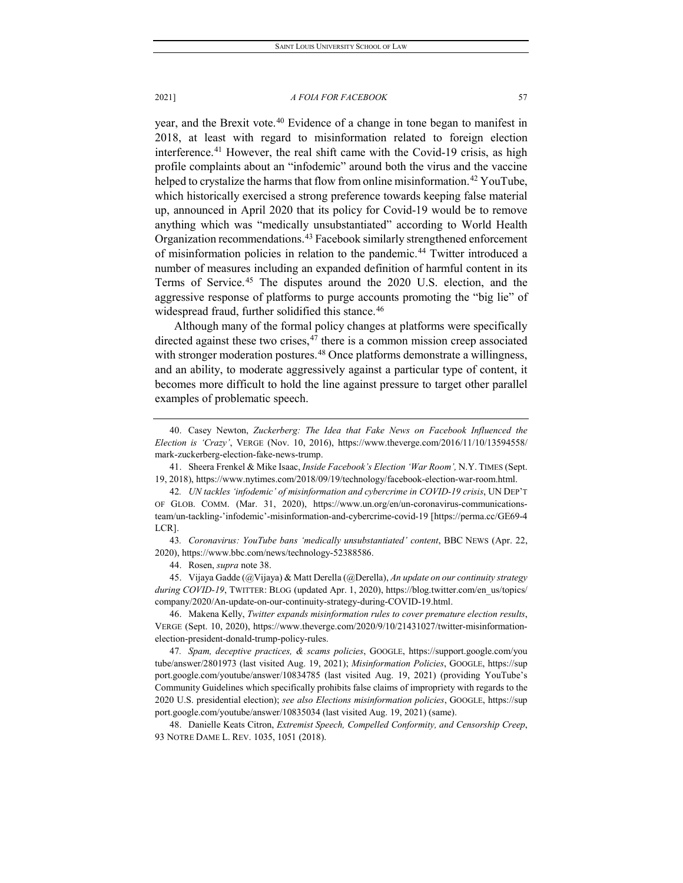year, and the Brexit vote.<sup>[40](#page-9-0)</sup> Evidence of a change in tone began to manifest in 2018, at least with regard to misinformation related to foreign election interference.<sup>[41](#page-9-1)</sup> However, the real shift came with the Covid-19 crisis, as high profile complaints about an "infodemic" around both the virus and the vaccine helped to crystalize the harms that flow from online misinformation.<sup>[42](#page-9-2)</sup> YouTube, which historically exercised a strong preference towards keeping false material up, announced in April 2020 that its policy for Covid-19 would be to remove anything which was "medically unsubstantiated" according to World Health Organization recommendations.[43](#page-9-3) Facebook similarly strengthened enforcement of misinformation policies in relation to the pandemic.[44](#page-9-4) Twitter introduced a number of measures including an expanded definition of harmful content in its Terms of Service.[45](#page-9-5) The disputes around the 2020 U.S. election, and the aggressive response of platforms to purge accounts promoting the "big lie" of widespread fraud, further solidified this stance.<sup>[46](#page-9-6)</sup>

Although many of the formal policy changes at platforms were specifically directed against these two crises,  $47$  there is a common mission creep associated with stronger moderation postures.<sup>[48](#page-9-8)</sup> Once platforms demonstrate a willingness, and an ability, to moderate aggressively against a particular type of content, it becomes more difficult to hold the line against pressure to target other parallel examples of problematic speech.

<span id="page-9-1"></span>41. Sheera Frenkel & Mike Isaac, *Inside Facebook's Election 'War Room',* N.Y. TIMES (Sept. 19, 2018), https://www.nytimes.com/2018/09/19/technology/facebook-election-war-room.html.

44. Rosen, *supra* note 38.

<span id="page-9-5"></span><span id="page-9-4"></span>45. Vijaya Gadde (@Vijaya) & Matt Derella (@Derella), *An update on our continuity strategy during COVID-19*, TWITTER: BLOG (updated Apr. 1, 2020), https://blog.twitter.com/en\_us/topics/ company/2020/An-update-on-our-continuity-strategy-during-COVID-19.html.

<span id="page-9-6"></span>46. Makena Kelly, *Twitter expands misinformation rules to cover premature election results*, VERGE (Sept. 10, 2020), https://www.theverge.com/2020/9/10/21431027/twitter-misinformationelection-president-donald-trump-policy-rules.

<span id="page-9-7"></span>47*. Spam, deceptive practices, & scams policies*, GOOGLE, https://support.google.com/you tube/answer/2801973 (last visited Aug. 19, 2021); *Misinformation Policies*, GOOGLE, https://sup port.google.com/youtube/answer/10834785 (last visited Aug. 19, 2021) (providing YouTube's Community Guidelines which specifically prohibits false claims of impropriety with regards to the 2020 U.S. presidential election); *see also Elections misinformation policies*, GOOGLE, https://sup port.google.com/youtube/answer/10835034 (last visited Aug. 19, 2021) (same).

<span id="page-9-8"></span>48. Danielle Keats Citron, *Extremist Speech, Compelled Conformity, and Censorship Creep*, 93 NOTRE DAME L. REV. 1035, 1051 (2018).

<span id="page-9-0"></span><sup>40.</sup> Casey Newton, *Zuckerberg: The Idea that Fake News on Facebook Influenced the Election is 'Crazy'*, VERGE (Nov. 10, 2016), https://www.theverge.com/2016/11/10/13594558/ mark-zuckerberg-election-fake-news-trump.

<span id="page-9-2"></span><sup>42</sup>*. UN tackles 'infodemic' of misinformation and cybercrime in COVID-19 crisis*, UN DEP'T OF GLOB. COMM. (Mar. 31, 2020), https://www.un.org/en/un-coronavirus-communicationsteam/un-tackling-'infodemic'-misinformation-and-cybercrime-covid-19 [https://perma.cc/GE69-4 LCR].

<span id="page-9-3"></span><sup>43</sup>*. Coronavirus: YouTube bans 'medically unsubstantiated' content*, BBC NEWS (Apr. 22, 2020), https://www.bbc.com/news/technology-52388586.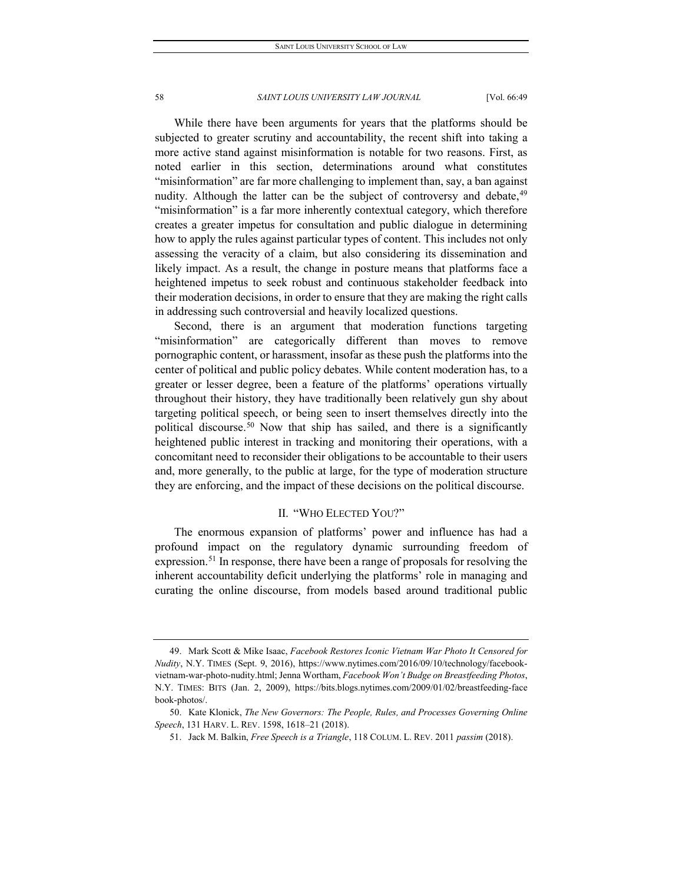While there have been arguments for years that the platforms should be subjected to greater scrutiny and accountability, the recent shift into taking a more active stand against misinformation is notable for two reasons. First, as noted earlier in this section, determinations around what constitutes "misinformation" are far more challenging to implement than, say, a ban against nudity. Although the latter can be the subject of controversy and debate,<sup>[49](#page-10-0)</sup> "misinformation" is a far more inherently contextual category, which therefore creates a greater impetus for consultation and public dialogue in determining how to apply the rules against particular types of content. This includes not only assessing the veracity of a claim, but also considering its dissemination and likely impact. As a result, the change in posture means that platforms face a heightened impetus to seek robust and continuous stakeholder feedback into their moderation decisions, in order to ensure that they are making the right calls in addressing such controversial and heavily localized questions.

Second, there is an argument that moderation functions targeting "misinformation" are categorically different than moves to remove pornographic content, or harassment, insofar as these push the platforms into the center of political and public policy debates. While content moderation has, to a greater or lesser degree, been a feature of the platforms' operations virtually throughout their history, they have traditionally been relatively gun shy about targeting political speech, or being seen to insert themselves directly into the political discourse.[50](#page-10-1) Now that ship has sailed, and there is a significantly heightened public interest in tracking and monitoring their operations, with a concomitant need to reconsider their obligations to be accountable to their users and, more generally, to the public at large, for the type of moderation structure they are enforcing, and the impact of these decisions on the political discourse.

## II. "WHO ELECTED YOU?"

The enormous expansion of platforms' power and influence has had a profound impact on the regulatory dynamic surrounding freedom of expression.<sup>[51](#page-10-2)</sup> In response, there have been a range of proposals for resolving the inherent accountability deficit underlying the platforms' role in managing and curating the online discourse, from models based around traditional public

<span id="page-10-0"></span><sup>49.</sup> Mark Scott & Mike Isaac, *Facebook Restores Iconic Vietnam War Photo It Censored for Nudity*, N.Y. TIMES (Sept. 9, 2016), https://www.nytimes.com/2016/09/10/technology/facebookvietnam-war-photo-nudity.html; Jenna Wortham, *Facebook Won't Budge on Breastfeeding Photos*, N.Y. TIMES: BITS (Jan. 2, 2009), https://bits.blogs.nytimes.com/2009/01/02/breastfeeding-face book-photos/.

<span id="page-10-2"></span><span id="page-10-1"></span><sup>50.</sup> Kate Klonick, *The New Governors: The People, Rules, and Processes Governing Online Speech*, 131 HARV. L. REV. 1598, 1618–21 (2018).

<sup>51.</sup> Jack M. Balkin, *Free Speech is a Triangle*, 118 COLUM. L. REV. 2011 *passim* (2018).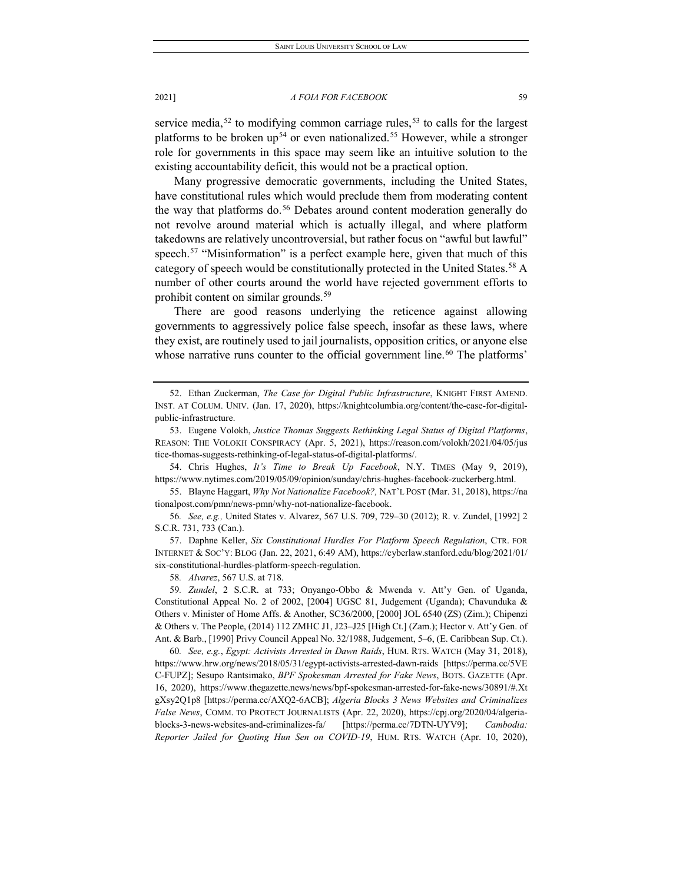service media,<sup>[52](#page-11-0)</sup> to modifying common carriage rules,<sup>[53](#page-11-1)</sup> to calls for the largest platforms to be broken up<sup>[54](#page-11-2)</sup> or even nationalized.<sup>[55](#page-11-3)</sup> However, while a stronger role for governments in this space may seem like an intuitive solution to the existing accountability deficit, this would not be a practical option.

Many progressive democratic governments, including the United States, have constitutional rules which would preclude them from moderating content the way that platforms do.<sup>[56](#page-11-4)</sup> Debates around content moderation generally do not revolve around material which is actually illegal, and where platform takedowns are relatively uncontroversial, but rather focus on "awful but lawful" speech.<sup>[57](#page-11-5)</sup> "Misinformation" is a perfect example here, given that much of this category of speech would be constitutionally protected in the United States.<sup>[58](#page-11-6)</sup> A number of other courts around the world have rejected government efforts to prohibit content on similar grounds.[59](#page-11-7)

There are good reasons underlying the reticence against allowing governments to aggressively police false speech, insofar as these laws, where they exist, are routinely used to jail journalists, opposition critics, or anyone else whose narrative runs counter to the official government line.<sup>[60](#page-11-8)</sup> The platforms'

<span id="page-11-2"></span>54. Chris Hughes, *It's Time to Break Up Facebook*, N.Y. TIMES (May 9, 2019), https://www.nytimes.com/2019/05/09/opinion/sunday/chris-hughes-facebook-zuckerberg.html.

<span id="page-11-3"></span>55. Blayne Haggart, *Why Not Nationalize Facebook?,* NAT'L POST (Mar. 31, 2018), https://na tionalpost.com/pmn/news-pmn/why-not-nationalize-facebook.

<span id="page-11-4"></span>56*. See, e.g.,* United States v. Alvarez, 567 U.S. 709, 729–30 (2012); R. v. Zundel, [1992] 2 S.C.R. 731, 733 (Can.).

<span id="page-11-5"></span>57. Daphne Keller, *Six Constitutional Hurdles For Platform Speech Regulation*, CTR. FOR INTERNET & SOC'Y: BLOG (Jan. 22, 2021, 6:49 AM), https://cyberlaw.stanford.edu/blog/2021/01/ six-constitutional-hurdles-platform-speech-regulation.

58*. Alvarez*, 567 U.S. at 718.

<span id="page-11-7"></span><span id="page-11-6"></span>59*. Zundel*, 2 S.C.R. at 733; Onyango-Obbo & Mwenda v. Att'y Gen. of Uganda, Constitutional Appeal No. 2 of 2002, [2004] UGSC 81, Judgement (Uganda); Chavunduka & Others v. Minister of Home Affs. & Another, SC36/2000, [2000] JOL 6540 (ZS) (Zim.); Chipenzi & Others v. The People, (2014) 112 ZMHC J1, J23–J25 [High Ct.] (Zam.); Hector v. Att'y Gen. of Ant. & Barb., [1990] Privy Council Appeal No. 32/1988, Judgement, 5–6, (E. Caribbean Sup. Ct.).

<span id="page-11-8"></span>60*. See, e.g.*, *Egypt: Activists Arrested in Dawn Raids*, HUM. RTS. WATCH (May 31, 2018), https://www.hrw.org/news/2018/05/31/egypt-activists-arrested-dawn-raids [https://perma.cc/5VE C-FUPZ]; Sesupo Rantsimako, *BPF Spokesman Arrested for Fake News*, BOTS. GAZETTE (Apr. 16, 2020), https://www.thegazette.news/news/bpf-spokesman-arrested-for-fake-news/30891/#.Xt gXsy2Q1p8 [https://perma.cc/AXQ2-6ACB]; *Algeria Blocks 3 News Websites and Criminalizes False News*, COMM. TO PROTECT JOURNALISTS (Apr. 22, 2020), https://cpj.org/2020/04/algeriablocks-3-news-websites-and-criminalizes-fa/ [https://perma.cc/7DTN-UYV9]; *Cambodia: Reporter Jailed for Quoting Hun Sen on COVID-19*, HUM. RTS. WATCH (Apr. 10, 2020),

<span id="page-11-0"></span><sup>52.</sup> Ethan Zuckerman, *The Case for Digital Public Infrastructure*, KNIGHT FIRST AMEND. INST. AT COLUM. UNIV. (Jan. 17, 2020), https://knightcolumbia.org/content/the-case-for-digitalpublic-infrastructure.

<span id="page-11-1"></span><sup>53.</sup> Eugene Volokh, *Justice Thomas Suggests Rethinking Legal Status of Digital Platforms*, REASON: THE VOLOKH CONSPIRACY (Apr. 5, 2021), https://reason.com/volokh/2021/04/05/jus tice-thomas-suggests-rethinking-of-legal-status-of-digital-platforms/.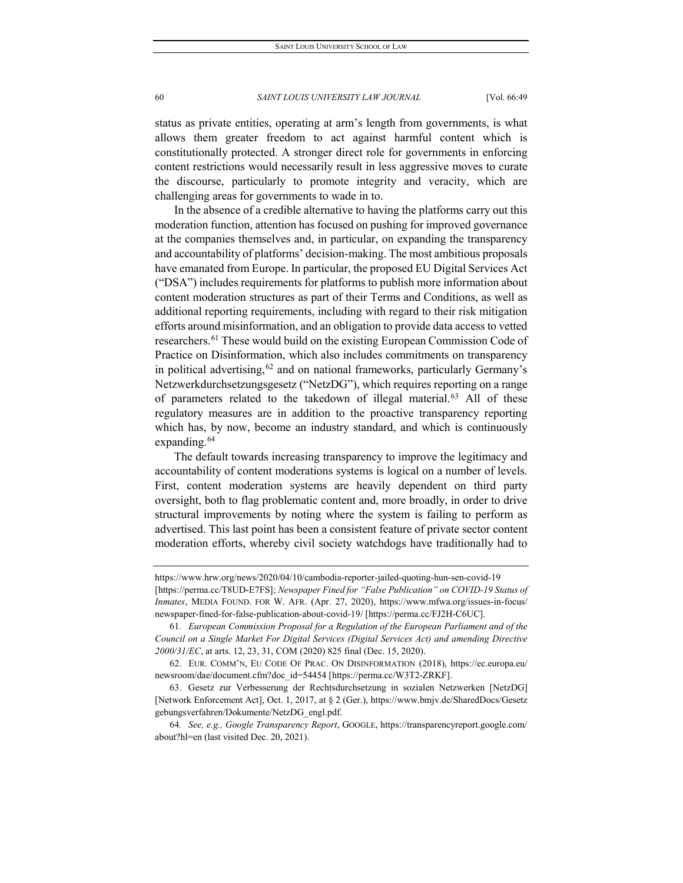status as private entities, operating at arm's length from governments, is what allows them greater freedom to act against harmful content which is constitutionally protected. A stronger direct role for governments in enforcing content restrictions would necessarily result in less aggressive moves to curate the discourse, particularly to promote integrity and veracity, which are challenging areas for governments to wade in to.

In the absence of a credible alternative to having the platforms carry out this moderation function, attention has focused on pushing for improved governance at the companies themselves and, in particular, on expanding the transparency and accountability of platforms' decision-making. The most ambitious proposals have emanated from Europe. In particular, the proposed EU Digital Services Act ("DSA") includes requirements for platforms to publish more information about content moderation structures as part of their Terms and Conditions, as well as additional reporting requirements, including with regard to their risk mitigation efforts around misinformation, and an obligation to provide data access to vetted researchers.[61](#page-12-0) These would build on the existing European Commission Code of Practice on Disinformation, which also includes commitments on transparency in political advertising,  $62$  and on national frameworks, particularly Germany's Netzwerkdurchsetzungsgesetz ("NetzDG"), which requires reporting on a range of parameters related to the takedown of illegal material.<sup>[63](#page-12-2)</sup> All of these regulatory measures are in addition to the proactive transparency reporting which has, by now, become an industry standard, and which is continuously expanding.<sup>[64](#page-12-3)</sup>

The default towards increasing transparency to improve the legitimacy and accountability of content moderations systems is logical on a number of levels. First, content moderation systems are heavily dependent on third party oversight, both to flag problematic content and, more broadly, in order to drive structural improvements by noting where the system is failing to perform as advertised. This last point has been a consistent feature of private sector content moderation efforts, whereby civil society watchdogs have traditionally had to

https://www.hrw.org/news/2020/04/10/cambodia-reporter-jailed-quoting-hun-sen-covid-19 [https://perma.cc/T8UD-E7FS]; *Newspaper Fined for "False Publication" on COVID-19 Status of Inmates*, MEDIA FOUND. FOR W. AFR. (Apr. 27, 2020), https://www.mfwa.org/issues-in-focus/ newspaper-fined-for-false-publication-about-covid-19/ [https://perma.cc/FJ2H-C6UC].

<span id="page-12-0"></span><sup>61</sup>*. European Commission Proposal for a Regulation of the European Parliament and of the Council on a Single Market For Digital Services (Digital Services Act) and amending Directive 2000/31/EC*, at arts. 12, 23, 31, COM (2020) 825 final (Dec. 15, 2020).

<span id="page-12-1"></span><sup>62.</sup> EUR. COMM'N, EU CODE OF PRAC. ON DISINFORMATION (2018), https://ec.europa.eu/ newsroom/dae/document.cfm?doc\_id=54454 [https://perma.cc/W3T2-ZRKF].

<span id="page-12-2"></span><sup>63.</sup> Gesetz zur Verbesserung der Rechtsdurchsetzung in sozialen Netzwerken [NetzDG] [Network Enforcement Act], Oct. 1, 2017, at § 2 (Ger.), https://www.bmjv.de/SharedDocs/Gesetz gebungsverfahren/Dokumente/NetzDG\_engl.pdf.

<span id="page-12-3"></span><sup>64</sup>*. See, e.g., Google Transparency Report*, GOOGLE, https://transparencyreport.google.com/ about?hl=en (last visited Dec. 20, 2021).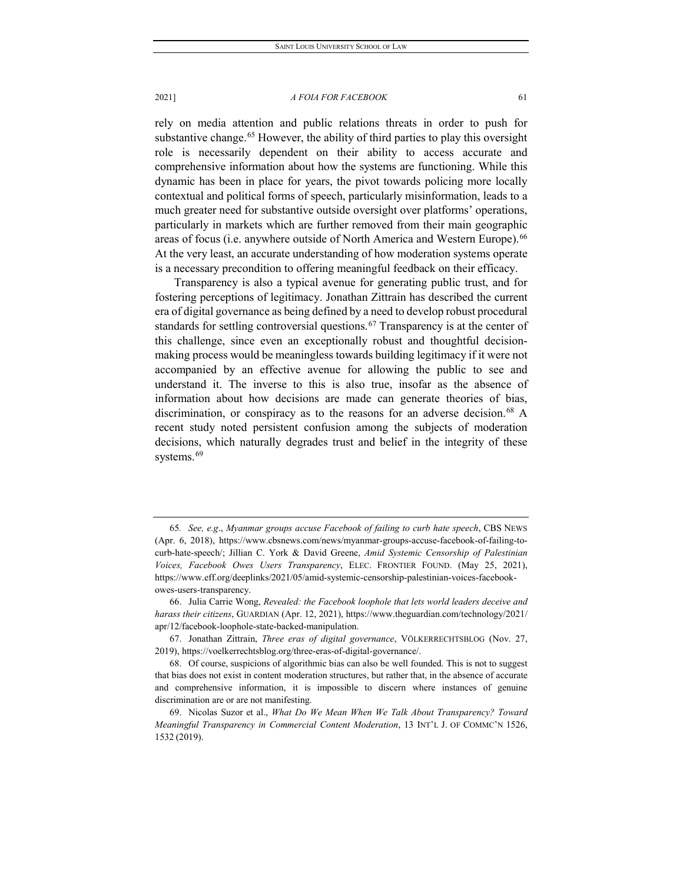rely on media attention and public relations threats in order to push for substantive change.<sup>[65](#page-13-0)</sup> However, the ability of third parties to play this oversight role is necessarily dependent on their ability to access accurate and comprehensive information about how the systems are functioning. While this dynamic has been in place for years, the pivot towards policing more locally contextual and political forms of speech, particularly misinformation, leads to a much greater need for substantive outside oversight over platforms' operations, particularly in markets which are further removed from their main geographic areas of focus (i.e. anywhere outside of North America and Western Europe).<sup>[66](#page-13-1)</sup> At the very least, an accurate understanding of how moderation systems operate is a necessary precondition to offering meaningful feedback on their efficacy.

Transparency is also a typical avenue for generating public trust, and for fostering perceptions of legitimacy. Jonathan Zittrain has described the current era of digital governance as being defined by a need to develop robust procedural standards for settling controversial questions.<sup>[67](#page-13-2)</sup> Transparency is at the center of this challenge, since even an exceptionally robust and thoughtful decisionmaking process would be meaningless towards building legitimacy if it were not accompanied by an effective avenue for allowing the public to see and understand it. The inverse to this is also true, insofar as the absence of information about how decisions are made can generate theories of bias, discrimination, or conspiracy as to the reasons for an adverse decision.<sup>[68](#page-13-3)</sup> A recent study noted persistent confusion among the subjects of moderation decisions, which naturally degrades trust and belief in the integrity of these systems.<sup>[69](#page-13-4)</sup>

<span id="page-13-0"></span><sup>65</sup>*. See, e.g*., *Myanmar groups accuse Facebook of failing to curb hate speech*, CBS NEWS (Apr. 6, 2018), https://www.cbsnews.com/news/myanmar-groups-accuse-facebook-of-failing-tocurb-hate-speech/; Jillian C. York & David Greene, *Amid Systemic Censorship of Palestinian Voices, Facebook Owes Users Transparency*, ELEC. FRONTIER FOUND. (May 25, 2021), https://www.eff.org/deeplinks/2021/05/amid-systemic-censorship-palestinian-voices-facebookowes-users-transparency.

<span id="page-13-1"></span><sup>66.</sup> Julia Carrie Wong, *Revealed: the Facebook loophole that lets world leaders deceive and harass their citizens*, GUARDIAN (Apr. 12, 2021), https://www.theguardian.com/technology/2021/ apr/12/facebook-loophole-state-backed-manipulation.

<span id="page-13-2"></span><sup>67.</sup> Jonathan Zittrain, *Three eras of digital governance*, VÖLKERRECHTSBLOG (Nov. 27, 2019), https://voelkerrechtsblog.org/three-eras-of-digital-governance/.

<span id="page-13-3"></span><sup>68.</sup> Of course, suspicions of algorithmic bias can also be well founded. This is not to suggest that bias does not exist in content moderation structures, but rather that, in the absence of accurate and comprehensive information, it is impossible to discern where instances of genuine discrimination are or are not manifesting.

<span id="page-13-4"></span><sup>69.</sup> Nicolas Suzor et al., *What Do We Mean When We Talk About Transparency? Toward Meaningful Transparency in Commercial Content Moderation*, 13 INT'L J. OF COMMC'N 1526, 1532 (2019).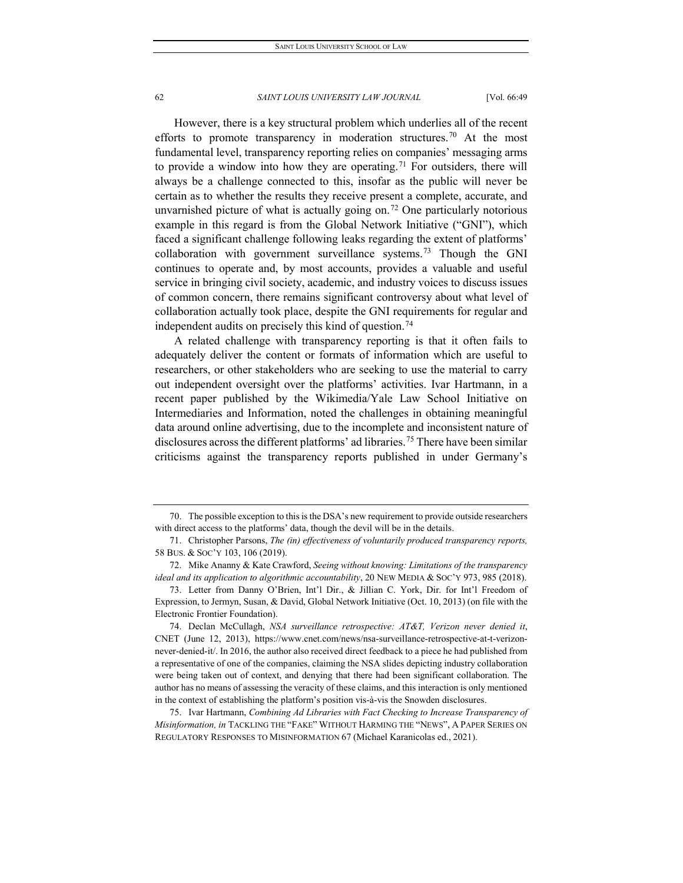However, there is a key structural problem which underlies all of the recent efforts to promote transparency in moderation structures.<sup>[70](#page-14-0)</sup> At the most fundamental level, transparency reporting relies on companies' messaging arms to provide a window into how they are operating.<sup>[71](#page-14-1)</sup> For outsiders, there will always be a challenge connected to this, insofar as the public will never be certain as to whether the results they receive present a complete, accurate, and unvarnished picture of what is actually going on.<sup>[72](#page-14-2)</sup> One particularly notorious example in this regard is from the Global Network Initiative ("GNI"), which faced a significant challenge following leaks regarding the extent of platforms' collaboration with government surveillance systems.<sup>[73](#page-14-3)</sup> Though the GNI continues to operate and, by most accounts, provides a valuable and useful service in bringing civil society, academic, and industry voices to discuss issues of common concern, there remains significant controversy about what level of collaboration actually took place, despite the GNI requirements for regular and independent audits on precisely this kind of question.<sup>[74](#page-14-4)</sup>

A related challenge with transparency reporting is that it often fails to adequately deliver the content or formats of information which are useful to researchers, or other stakeholders who are seeking to use the material to carry out independent oversight over the platforms' activities. Ivar Hartmann, in a recent paper published by the Wikimedia/Yale Law School Initiative on Intermediaries and Information, noted the challenges in obtaining meaningful data around online advertising, due to the incomplete and inconsistent nature of disclosures across the different platforms' ad libraries.<sup>[75](#page-14-5)</sup> There have been similar criticisms against the transparency reports published in under Germany's

<span id="page-14-0"></span><sup>70.</sup> The possible exception to this is the DSA's new requirement to provide outside researchers with direct access to the platforms' data, though the devil will be in the details.

<span id="page-14-1"></span><sup>71.</sup> Christopher Parsons, *The (in) effectiveness of voluntarily produced transparency reports,* 58 BUS. & SOC'Y 103, 106 (2019).

<span id="page-14-2"></span><sup>72.</sup> Mike Ananny & Kate Crawford, *Seeing without knowing: Limitations of the transparency ideal and its application to algorithmic accountability*, 20 NEW MEDIA & SOC'Y 973, 985 (2018).

<span id="page-14-3"></span><sup>73.</sup> Letter from Danny O'Brien, Int'l Dir., & Jillian C. York, Dir. for Int'l Freedom of Expression, to Jermyn, Susan, & David, Global Network Initiative (Oct. 10, 2013) (on file with the Electronic Frontier Foundation).

<span id="page-14-4"></span><sup>74.</sup> Declan McCullagh, *NSA surveillance retrospective: AT&T, Verizon never denied it*, CNET (June 12, 2013), https://www.cnet.com/news/nsa-surveillance-retrospective-at-t-verizonnever-denied-it/. In 2016, the author also received direct feedback to a piece he had published from a representative of one of the companies, claiming the NSA slides depicting industry collaboration were being taken out of context, and denying that there had been significant collaboration. The author has no means of assessing the veracity of these claims, and this interaction is only mentioned in the context of establishing the platform's position vis-à-vis the Snowden disclosures.

<span id="page-14-5"></span><sup>75.</sup> Ivar Hartmann, *Combining Ad Libraries with Fact Checking to Increase Transparency of Misinformation, in* TACKLING THE "FAKE" WITHOUT HARMING THE "NEWS", A PAPER SERIES ON REGULATORY RESPONSES TO MISINFORMATION 67 (Michael Karanicolas ed., 2021).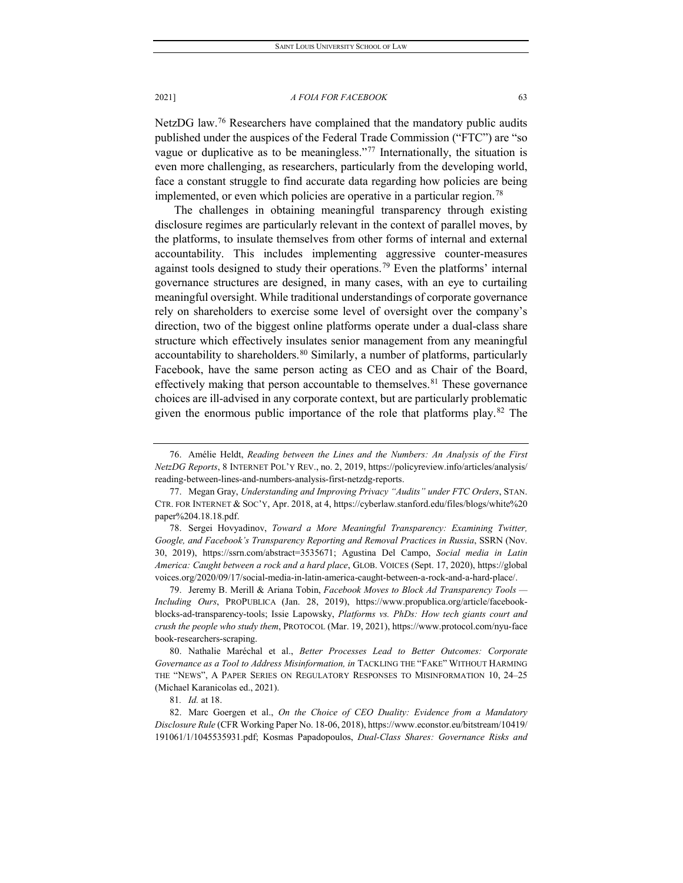NetzDG law.<sup>76</sup> Researchers have complained that the mandatory public audits published under the auspices of the Federal Trade Commission ("FTC") are "so vague or duplicative as to be meaningless."<sup>[77](#page-15-1)</sup> Internationally, the situation is even more challenging, as researchers, particularly from the developing world, face a constant struggle to find accurate data regarding how policies are being implemented, or even which policies are operative in a particular region.<sup>[78](#page-15-2)</sup>

The challenges in obtaining meaningful transparency through existing disclosure regimes are particularly relevant in the context of parallel moves, by the platforms, to insulate themselves from other forms of internal and external accountability. This includes implementing aggressive counter-measures against tools designed to study their operations.<sup>[79](#page-15-3)</sup> Even the platforms' internal governance structures are designed, in many cases, with an eye to curtailing meaningful oversight. While traditional understandings of corporate governance rely on shareholders to exercise some level of oversight over the company's direction, two of the biggest online platforms operate under a dual-class share structure which effectively insulates senior management from any meaningful accountability to shareholders. $80$  Similarly, a number of platforms, particularly Facebook, have the same person acting as CEO and as Chair of the Board, effectively making that person accountable to themselves.<sup>[81](#page-15-5)</sup> These governance choices are ill-advised in any corporate context, but are particularly problematic given the enormous public importance of the role that platforms play.<sup>[82](#page-15-6)</sup> The

<span id="page-15-2"></span>78. Sergei Hovyadinov, *Toward a More Meaningful Transparency: Examining Twitter, Google, and Facebook's Transparency Reporting and Removal Practices in Russia*, SSRN (Nov. 30, 2019), https://ssrn.com/abstract=3535671; Agustina Del Campo, *Social media in Latin America: Caught between a rock and a hard place*, GLOB. VOICES (Sept. 17, 2020), https://global voices.org/2020/09/17/social-media-in-latin-america-caught-between-a-rock-and-a-hard-place/.

<span id="page-15-3"></span>79. Jeremy B. Merill & Ariana Tobin, *Facebook Moves to Block Ad Transparency Tools — Including Ours*, PROPUBLICA (Jan. 28, 2019), https://www.propublica.org/article/facebookblocks-ad-transparency-tools; Issie Lapowsky, *Platforms vs. PhDs: How tech giants court and crush the people who study them*, PROTOCOL (Mar. 19, 2021), https://www.protocol.com/nyu-face book-researchers-scraping.

<span id="page-15-4"></span>80. Nathalie Maréchal et al., *Better Processes Lead to Better Outcomes: Corporate*  Governance as a Tool to Address Misinformation, in TACKLING THE "FAKE" WITHOUT HARMING THE "NEWS", A PAPER SERIES ON REGULATORY RESPONSES TO MISINFORMATION 10, 24–25 (Michael Karanicolas ed., 2021).

81*. Id.* at 18.

<span id="page-15-0"></span><sup>76.</sup> Amélie Heldt, *Reading between the Lines and the Numbers: An Analysis of the First NetzDG Reports*, 8 INTERNET POL'Y REV., no. 2, 2019, https://policyreview.info/articles/analysis/ reading-between-lines-and-numbers-analysis-first-netzdg-reports.

<span id="page-15-1"></span><sup>77.</sup> Megan Gray, *Understanding and Improving Privacy "Audits" under FTC Orders*, STAN. CTR. FOR INTERNET & SOC'Y, Apr. 2018, at 4, https://cyberlaw.stanford.edu/files/blogs/white%20 paper%204.18.18.pdf.

<span id="page-15-6"></span><span id="page-15-5"></span><sup>82.</sup> Marc Goergen et al., *On the Choice of CEO Duality: Evidence from a Mandatory Disclosure Rule* (CFR Working Paper No. 18-06, 2018), https://www.econstor.eu/bitstream/10419/ 191061/1/1045535931.pdf; Kosmas Papadopoulos, *Dual-Class Shares: Governance Risks and*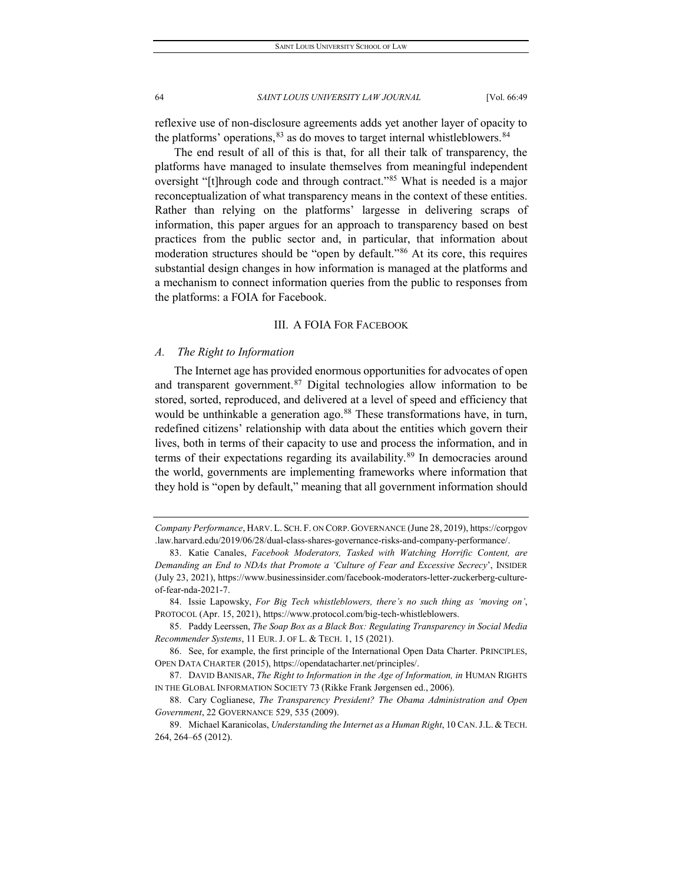reflexive use of non-disclosure agreements adds yet another layer of opacity to the platforms' operations,  $83$  as do moves to target internal whistleblowers.  $84$ 

The end result of all of this is that, for all their talk of transparency, the platforms have managed to insulate themselves from meaningful independent oversight "[t]hrough code and through contract."<sup>[85](#page-16-2)</sup> What is needed is a major reconceptualization of what transparency means in the context of these entities. Rather than relying on the platforms' largesse in delivering scraps of information, this paper argues for an approach to transparency based on best practices from the public sector and, in particular, that information about moderation structures should be "open by default."[86](#page-16-3) At its core, this requires substantial design changes in how information is managed at the platforms and a mechanism to connect information queries from the public to responses from the platforms: a FOIA for Facebook.

## III.A FOIA FOR FACEBOOK

## *A. The Right to Information*

The Internet age has provided enormous opportunities for advocates of open and transparent government.<sup>[87](#page-16-4)</sup> Digital technologies allow information to be stored, sorted, reproduced, and delivered at a level of speed and efficiency that would be unthinkable a generation ago.<sup>88</sup> These transformations have, in turn, redefined citizens' relationship with data about the entities which govern their lives, both in terms of their capacity to use and process the information, and in terms of their expectations regarding its availability.<sup>[89](#page-16-6)</sup> In democracies around the world, governments are implementing frameworks where information that they hold is "open by default," meaning that all government information should

*Company Performance*, HARV. L. SCH. F. ON CORP. GOVERNANCE (June 28, 2019), https://corpgov .law.harvard.edu/2019/06/28/dual-class-shares-governance-risks-and-company-performance/.

<span id="page-16-0"></span><sup>83.</sup> Katie Canales, *Facebook Moderators, Tasked with Watching Horrific Content, are Demanding an End to NDAs that Promote a 'Culture of Fear and Excessive Secrecy*', INSIDER (July 23, 2021), https://www.businessinsider.com/facebook-moderators-letter-zuckerberg-cultureof-fear-nda-2021-7.

<span id="page-16-1"></span><sup>84.</sup> Issie Lapowsky, *For Big Tech whistleblowers, there's no such thing as 'moving on'*, PROTOCOL (Apr. 15, 2021), https://www.protocol.com/big-tech-whistleblowers.

<span id="page-16-2"></span><sup>85.</sup> Paddy Leerssen, *The Soap Box as a Black Box: Regulating Transparency in Social Media Recommender Systems*, 11 EUR. J. OF L. & TECH. 1, 15 (2021).

<span id="page-16-3"></span><sup>86.</sup> See, for example, the first principle of the International Open Data Charter. PRINCIPLES, OPEN DATA CHARTER (2015), https://opendatacharter.net/principles/.

<span id="page-16-4"></span><sup>87.</sup> DAVID BANISAR, *The Right to Information in the Age of Information, in* HUMAN RIGHTS IN THE GLOBAL INFORMATION SOCIETY 73 (Rikke Frank Jørgensen ed., 2006).

<span id="page-16-5"></span><sup>88.</sup> Cary Coglianese, *The Transparency President? The Obama Administration and Open Government*, 22 GOVERNANCE 529, 535 (2009).

<span id="page-16-6"></span><sup>89.</sup> Michael Karanicolas, *Understanding the Internet as a Human Right*, 10 CAN.J.L. & TECH. 264, 264–65 (2012).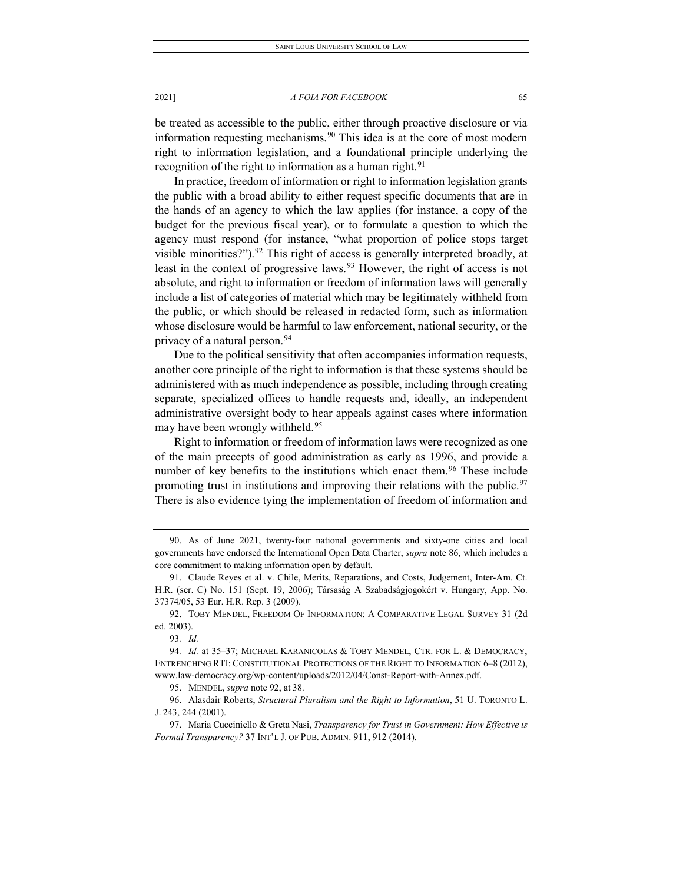be treated as accessible to the public, either through proactive disclosure or via information requesting mechanisms.<sup>[90](#page-17-0)</sup> This idea is at the core of most modern right to information legislation, and a foundational principle underlying the recognition of the right to information as a human right.<sup>[91](#page-17-1)</sup>

In practice, freedom of information or right to information legislation grants the public with a broad ability to either request specific documents that are in the hands of an agency to which the law applies (for instance, a copy of the budget for the previous fiscal year), or to formulate a question to which the agency must respond (for instance, "what proportion of police stops target visible minorities?").  $92$  This right of access is generally interpreted broadly, at least in the context of progressive laws.  $93$  However, the right of access is not absolute, and right to information or freedom of information laws will generally include a list of categories of material which may be legitimately withheld from the public, or which should be released in redacted form, such as information whose disclosure would be harmful to law enforcement, national security, or the privacy of a natural person.<sup>[94](#page-17-4)</sup>

Due to the political sensitivity that often accompanies information requests, another core principle of the right to information is that these systems should be administered with as much independence as possible, including through creating separate, specialized offices to handle requests and, ideally, an independent administrative oversight body to hear appeals against cases where information may have been wrongly withheld.<sup>[95](#page-17-5)</sup>

Right to information or freedom of information laws were recognized as one of the main precepts of good administration as early as 1996, and provide a number of key benefits to the institutions which enact them.<sup>[96](#page-17-6)</sup> These include promoting trust in institutions and improving their relations with the public.<sup>[97](#page-17-7)</sup> There is also evidence tying the implementation of freedom of information and

<span id="page-17-0"></span><sup>90.</sup> As of June 2021, twenty-four national governments and sixty-one cities and local governments have endorsed the International Open Data Charter, *supra* note 86, which includes a core commitment to making information open by default*.*

<span id="page-17-1"></span><sup>91.</sup> Claude Reyes et al. v. Chile, Merits, Reparations, and Costs, Judgement, Inter-Am. Ct. H.R. (ser. C) No. 151 (Sept. 19, 2006); Társaság A Szabadságjogokért v. Hungary, App. No. 37374/05, 53 Eur. H.R. Rep. 3 (2009).

<span id="page-17-2"></span><sup>92.</sup> TOBY MENDEL, FREEDOM OF INFORMATION: A COMPARATIVE LEGAL SURVEY 31 (2d ed. 2003).

<sup>93</sup>*. Id.*

<span id="page-17-4"></span><span id="page-17-3"></span><sup>94</sup>*. Id.* at 35–37; MICHAEL KARANICOLAS & TOBY MENDEL, CTR. FOR L. & DEMOCRACY, ENTRENCHING RTI: CONSTITUTIONAL PROTECTIONS OF THE RIGHT TO INFORMATION 6–8 (2012), www.law-democracy.org/wp-content/uploads/2012/04/Const-Report-with-Annex.pdf.

<sup>95.</sup> MENDEL, *supra* note 92, at 38.

<span id="page-17-6"></span><span id="page-17-5"></span><sup>96.</sup> Alasdair Roberts, *Structural Pluralism and the Right to Information*, 51 U. TORONTO L. J. 243, 244 (2001).

<span id="page-17-7"></span><sup>97.</sup> Maria Cucciniello & Greta Nasi, *Transparency for Trust in Government: How Effective is Formal Transparency?* 37 INT'L J. OF PUB. ADMIN. 911, 912 (2014).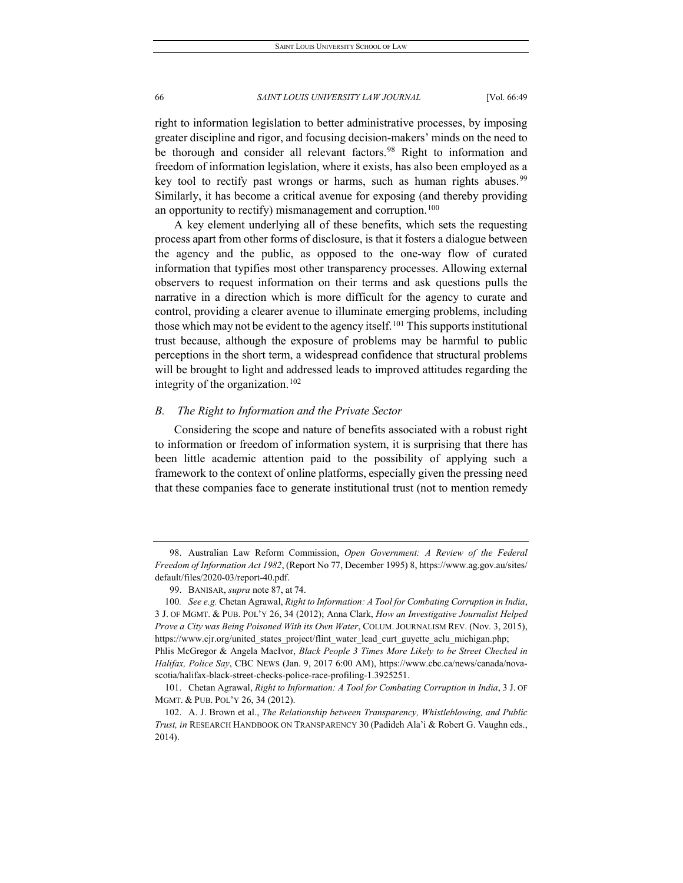right to information legislation to better administrative processes, by imposing greater discipline and rigor, and focusing decision-makers' minds on the need to be thorough and consider all relevant factors.<sup>[98](#page-18-0)</sup> Right to information and freedom of information legislation, where it exists, has also been employed as a key tool to rectify past wrongs or harms, such as human rights abuses.<sup>[99](#page-18-1)</sup> Similarly, it has become a critical avenue for exposing (and thereby providing an opportunity to rectify) mismanagement and corruption.<sup>[100](#page-18-2)</sup>

A key element underlying all of these benefits, which sets the requesting process apart from other forms of disclosure, is that it fosters a dialogue between the agency and the public, as opposed to the one-way flow of curated information that typifies most other transparency processes. Allowing external observers to request information on their terms and ask questions pulls the narrative in a direction which is more difficult for the agency to curate and control, providing a clearer avenue to illuminate emerging problems, including those which may not be evident to the agency itself.<sup>[101](#page-18-3)</sup> This supports institutional trust because, although the exposure of problems may be harmful to public perceptions in the short term, a widespread confidence that structural problems will be brought to light and addressed leads to improved attitudes regarding the integrity of the organization.[102](#page-18-4)

## *B. The Right to Information and the Private Sector*

Considering the scope and nature of benefits associated with a robust right to information or freedom of information system, it is surprising that there has been little academic attention paid to the possibility of applying such a framework to the context of online platforms, especially given the pressing need that these companies face to generate institutional trust (not to mention remedy

<span id="page-18-0"></span><sup>98.</sup> Australian Law Reform Commission, *Open Government: A Review of the Federal Freedom of Information Act 1982*, (Report No 77, December 1995) 8, https://www.ag.gov.au/sites/ default/files/2020-03/report-40.pdf.

<sup>99.</sup> BANISAR, *supra* note 87, at 74.

<span id="page-18-2"></span><span id="page-18-1"></span><sup>100</sup>*. See e.g.* Chetan Agrawal, *Right to Information: A Tool for Combating Corruption in India*, 3 J. OF MGMT. & PUB. POL'Y 26, 34 (2012); Anna Clark, *How an Investigative Journalist Helped Prove a City was Being Poisoned With its Own Water*, COLUM. JOURNALISM REV. (Nov. 3, 2015), https://www.cjr.org/united\_states\_project/flint\_water\_lead\_curt\_guyette\_aclu\_michigan.php; Phlis McGregor & Angela MacIvor, *Black People 3 Times More Likely to be Street Checked in Halifax, Police Say*, CBC NEWS (Jan. 9, 2017 6:00 AM), https://www.cbc.ca/news/canada/novascotia/halifax-black-street-checks-police-race-profiling-1.3925251.

<span id="page-18-3"></span><sup>101.</sup> Chetan Agrawal, *Right to Information: A Tool for Combating Corruption in India*, 3 J. OF MGMT. & PUB. POL'Y 26, 34 (2012).

<span id="page-18-4"></span><sup>102.</sup> A. J. Brown et al., *The Relationship between Transparency, Whistleblowing, and Public Trust, in* RESEARCH HANDBOOK ON TRANSPARENCY 30 (Padideh Ala'i & Robert G. Vaughn eds., 2014).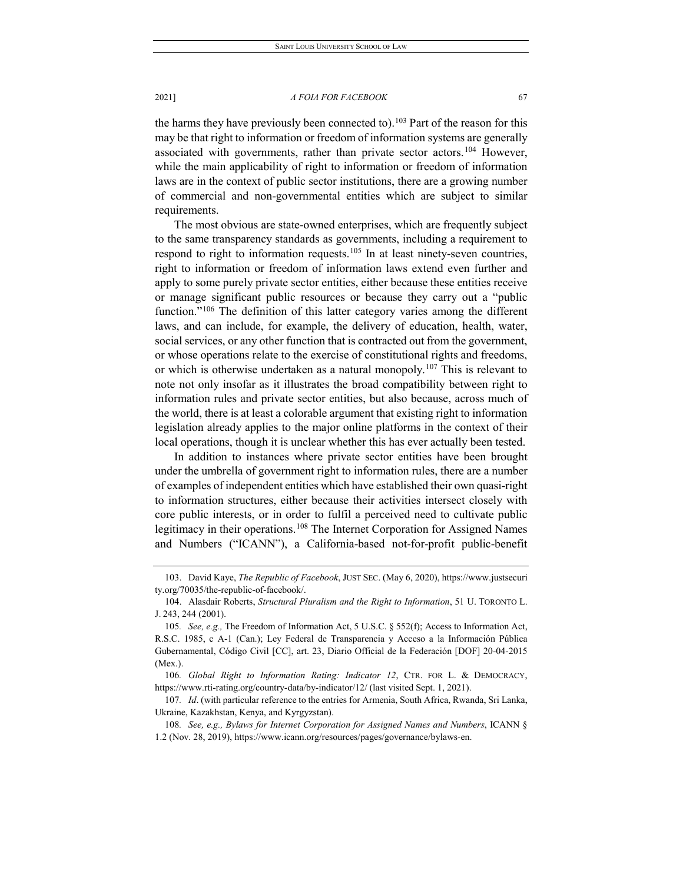the harms they have previously been connected to).<sup>[103](#page-19-0)</sup> Part of the reason for this may be that right to information or freedom of information systems are generally associated with governments, rather than private sector actors.<sup>[104](#page-19-1)</sup> However, while the main applicability of right to information or freedom of information laws are in the context of public sector institutions, there are a growing number of commercial and non-governmental entities which are subject to similar requirements.

The most obvious are state-owned enterprises, which are frequently subject to the same transparency standards as governments, including a requirement to respond to right to information requests.<sup>[105](#page-19-2)</sup> In at least ninety-seven countries, right to information or freedom of information laws extend even further and apply to some purely private sector entities, either because these entities receive or manage significant public resources or because they carry out a "public function."<sup>[106](#page-19-3)</sup> The definition of this latter category varies among the different laws, and can include, for example, the delivery of education, health, water, social services, or any other function that is contracted out from the government, or whose operations relate to the exercise of constitutional rights and freedoms, or which is otherwise undertaken as a natural monopoly.<sup>[107](#page-19-4)</sup> This is relevant to note not only insofar as it illustrates the broad compatibility between right to information rules and private sector entities, but also because, across much of the world, there is at least a colorable argument that existing right to information legislation already applies to the major online platforms in the context of their local operations, though it is unclear whether this has ever actually been tested.

In addition to instances where private sector entities have been brought under the umbrella of government right to information rules, there are a number of examples of independent entities which have established their own quasi-right to information structures, either because their activities intersect closely with core public interests, or in order to fulfil a perceived need to cultivate public legitimacy in their operations.<sup>[108](#page-19-5)</sup> The Internet Corporation for Assigned Names and Numbers ("ICANN"), a California-based not-for-profit public-benefit

<span id="page-19-0"></span><sup>103.</sup> David Kaye, *The Republic of Facebook*, JUST SEC. (May 6, 2020), https://www.justsecuri ty.org/70035/the-republic-of-facebook/.

<span id="page-19-1"></span><sup>104.</sup> Alasdair Roberts, *Structural Pluralism and the Right to Information*, 51 U. TORONTO L. J. 243, 244 (2001).

<span id="page-19-2"></span><sup>105</sup>*. See, e.g.,* The Freedom of Information Act, 5 U.S.C. § 552(f); Access to Information Act, R.S.C. 1985, c A-1 (Can.); Ley Federal de Transparencia y Acceso a la Información Pública Gubernamental, Código Civil [CC], art. 23, Diario Official de la Federación [DOF] 20-04-2015 (Mex.).

<span id="page-19-3"></span><sup>106</sup>*. Global Right to Information Rating: Indicator 12*, CTR. FOR L. & DEMOCRACY, https://www.rti-rating.org/country-data/by-indicator/12/ (last visited Sept. 1, 2021).

<span id="page-19-4"></span><sup>107</sup>*. Id*. (with particular reference to the entries for Armenia, South Africa, Rwanda, Sri Lanka, Ukraine, Kazakhstan, Kenya, and Kyrgyzstan).

<span id="page-19-5"></span><sup>108</sup>*. See, e.g., Bylaws for Internet Corporation for Assigned Names and Numbers*, ICANN § 1.2 (Nov. 28, 2019), https://www.icann.org/resources/pages/governance/bylaws-en.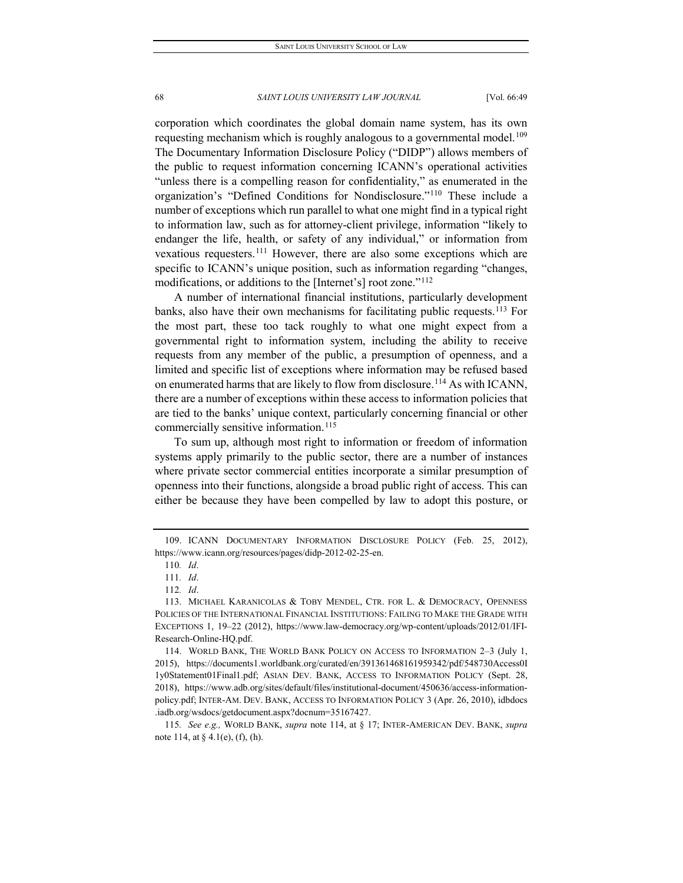corporation which coordinates the global domain name system, has its own requesting mechanism which is roughly analogous to a governmental model.<sup>[109](#page-20-0)</sup> The Documentary Information Disclosure Policy ("DIDP") allows members of the public to request information concerning ICANN's operational activities "unless there is a compelling reason for confidentiality," as enumerated in the organization's "Defined Conditions for Nondisclosure."[110](#page-20-1) These include a number of exceptions which run parallel to what one might find in a typical right to information law, such as for attorney-client privilege, information "likely to endanger the life, health, or safety of any individual," or information from vexatious requesters.[111](#page-20-2) However, there are also some exceptions which are specific to ICANN's unique position, such as information regarding "changes, modifications, or additions to the [Internet's] root zone."[112](#page-20-3)

A number of international financial institutions, particularly development banks, also have their own mechanisms for facilitating public requests.<sup>113</sup> For the most part, these too tack roughly to what one might expect from a governmental right to information system, including the ability to receive requests from any member of the public, a presumption of openness, and a limited and specific list of exceptions where information may be refused based on enumerated harms that are likely to flow from disclosure.[114](#page-20-5) As with ICANN, there are a number of exceptions within these access to information policies that are tied to the banks' unique context, particularly concerning financial or other commercially sensitive information.<sup>[115](#page-20-6)</sup>

To sum up, although most right to information or freedom of information systems apply primarily to the public sector, there are a number of instances where private sector commercial entities incorporate a similar presumption of openness into their functions, alongside a broad public right of access. This can either be because they have been compelled by law to adopt this posture, or

<span id="page-20-1"></span><span id="page-20-0"></span><sup>109.</sup> ICANN DOCUMENTARY INFORMATION DISCLOSURE POLICY (Feb. 25, 2012), https://www.icann.org/resources/pages/didp-2012-02-25-en.

<sup>110</sup>*. Id*.

<sup>111</sup>*. Id*.

<sup>112</sup>*. Id*.

<span id="page-20-4"></span><span id="page-20-3"></span><span id="page-20-2"></span><sup>113.</sup> MICHAEL KARANICOLAS & TOBY MENDEL, CTR. FOR L. & DEMOCRACY, OPENNESS POLICIES OF THE INTERNATIONAL FINANCIAL INSTITUTIONS: FAILING TO MAKE THE GRADE WITH EXCEPTIONS 1, 19–22 (2012), https://www.law-democracy.org/wp-content/uploads/2012/01/IFI-Research-Online-HQ.pdf.

<span id="page-20-5"></span><sup>114.</sup> WORLD BANK, THE WORLD BANK POLICY ON ACCESS TO INFORMATION 2–3 (July 1, 2015), https://documents1.worldbank.org/curated/en/391361468161959342/pdf/548730Access0I 1y0Statement01Final1.pdf; ASIAN DEV. BANK, ACCESS TO INFORMATION POLICY (Sept. 28, 2018), https://www.adb.org/sites/default/files/institutional-document/450636/access-informationpolicy.pdf; INTER-AM. DEV. BANK, ACCESS TO INFORMATION POLICY 3 (Apr. 26, 2010), idbdocs .iadb.org/wsdocs/getdocument.aspx?docnum=35167427.

<span id="page-20-6"></span><sup>115</sup>*. See e.g.,* WORLD BANK, *supra* note 114, at § 17; INTER-AMERICAN DEV. BANK, *supra* note 114, at § 4.1(e), (f), (h).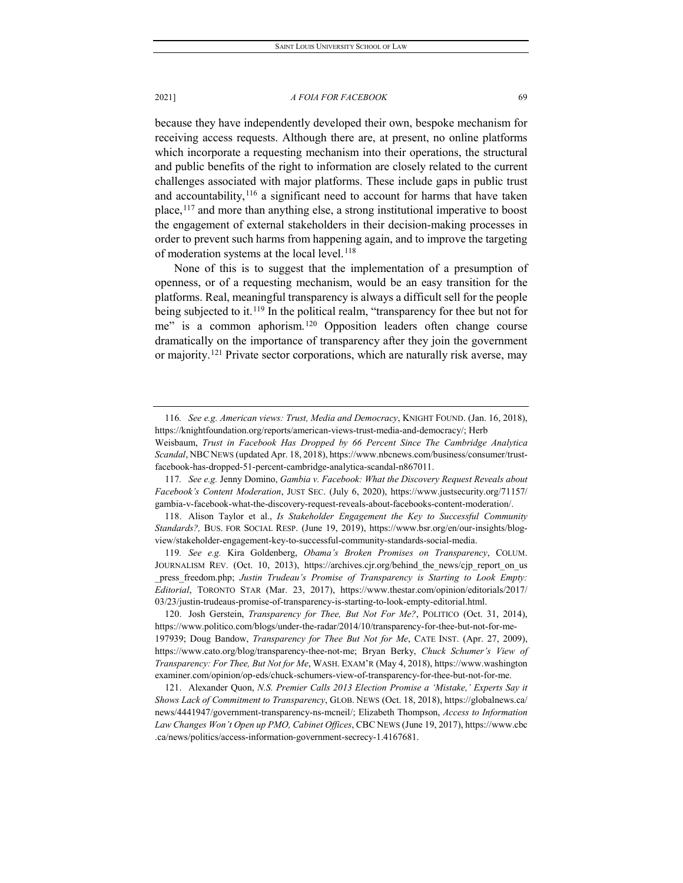because they have independently developed their own, bespoke mechanism for receiving access requests. Although there are, at present, no online platforms which incorporate a requesting mechanism into their operations, the structural and public benefits of the right to information are closely related to the current challenges associated with major platforms. These include gaps in public trust and accountability,  $116$  a significant need to account for harms that have taken place,[117](#page-21-1) and more than anything else, a strong institutional imperative to boost the engagement of external stakeholders in their decision-making processes in order to prevent such harms from happening again, and to improve the targeting of moderation systems at the local level.<sup>[118](#page-21-2)</sup>

None of this is to suggest that the implementation of a presumption of openness, or of a requesting mechanism, would be an easy transition for the platforms. Real, meaningful transparency is always a difficult sell for the people being subjected to it.<sup>[119](#page-21-3)</sup> In the political realm, "transparency for thee but not for me" is a common aphorism.<sup>[120](#page-21-4)</sup> Opposition leaders often change course dramatically on the importance of transparency after they join the government or majority.<sup>[121](#page-21-5)</sup> Private sector corporations, which are naturally risk averse, may

<span id="page-21-4"></span>120. Josh Gerstein, *Transparency for Thee, But Not For Me?*, POLITICO (Oct. 31, 2014), https://www.politico.com/blogs/under-the-radar/2014/10/transparency-for-thee-but-not-for-me-197939; Doug Bandow, *Transparency for Thee But Not for Me*, CATE INST. (Apr. 27, 2009), https://www.cato.org/blog/transparency-thee-not-me; Bryan Berky, *Chuck Schumer's View of Transparency: For Thee, But Not for Me*, WASH. EXAM'R (May 4, 2018), https://www.washington examiner.com/opinion/op-eds/chuck-schumers-view-of-transparency-for-thee-but-not-for-me.

<span id="page-21-5"></span>121. Alexander Quon, *N.S. Premier Calls 2013 Election Promise a 'Mistake,' Experts Say it Shows Lack of Commitment to Transparency*, GLOB. NEWS (Oct. 18, 2018), https://globalnews.ca/ news/4441947/government-transparency-ns-mcneil/; Elizabeth Thompson, *Access to Information Law Changes Won't Open up PMO, Cabinet Offices*, CBC NEWS (June 19, 2017), https://www.cbc .ca/news/politics/access-information-government-secrecy-1.4167681.

<span id="page-21-0"></span><sup>116</sup>*. See e.g. American views: Trust, Media and Democracy*, KNIGHT FOUND. (Jan. 16, 2018), https://knightfoundation.org/reports/american-views-trust-media-and-democracy/; Herb

Weisbaum, *Trust in Facebook Has Dropped by 66 Percent Since The Cambridge Analytica Scandal*, NBC NEWS (updated Apr. 18, 2018), https://www.nbcnews.com/business/consumer/trustfacebook-has-dropped-51-percent-cambridge-analytica-scandal-n867011.

<span id="page-21-1"></span><sup>117</sup>*. See e.g.* Jenny Domino, *Gambia v. Facebook: What the Discovery Request Reveals about Facebook's Content Moderation*, JUST SEC. (July 6, 2020), https://www.justsecurity.org/71157/ gambia-v-facebook-what-the-discovery-request-reveals-about-facebooks-content-moderation/.

<span id="page-21-2"></span><sup>118.</sup> Alison Taylor et al., *Is Stakeholder Engagement the Key to Successful Community Standards?,* BUS. FOR SOCIAL RESP. (June 19, 2019), https://www.bsr.org/en/our-insights/blogview/stakeholder-engagement-key-to-successful-community-standards-social-media.

<span id="page-21-3"></span><sup>119</sup>*. See e.g.* Kira Goldenberg, *Obama's Broken Promises on Transparency*, COLUM. JOURNALISM REV. (Oct. 10, 2013), https://archives.cjr.org/behind\_the\_news/cjp\_report\_on\_us \_press\_freedom.php; *Justin Trudeau's Promise of Transparency is Starting to Look Empty: Editorial*, TORONTO STAR (Mar. 23, 2017), https://www.thestar.com/opinion/editorials/2017/ 03/23/justin-trudeaus-promise-of-transparency-is-starting-to-look-empty-editorial.html.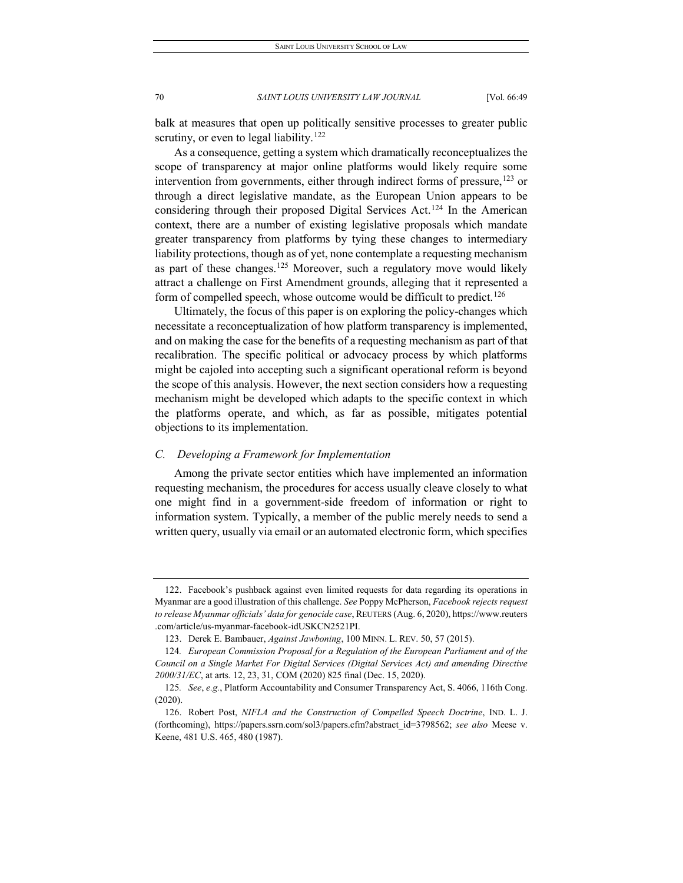balk at measures that open up politically sensitive processes to greater public scrutiny, or even to legal liability.<sup>[122](#page-22-0)</sup>

As a consequence, getting a system which dramatically reconceptualizes the scope of transparency at major online platforms would likely require some intervention from governments, either through indirect forms of pressure,  $123$  or through a direct legislative mandate, as the European Union appears to be considering through their proposed Digital Services Act.[124](#page-22-2) In the American context, there are a number of existing legislative proposals which mandate greater transparency from platforms by tying these changes to intermediary liability protections, though as of yet, none contemplate a requesting mechanism as part of these changes.<sup>[125](#page-22-3)</sup> Moreover, such a regulatory move would likely attract a challenge on First Amendment grounds, alleging that it represented a form of compelled speech, whose outcome would be difficult to predict.<sup>[126](#page-22-4)</sup>

Ultimately, the focus of this paper is on exploring the policy-changes which necessitate a reconceptualization of how platform transparency is implemented, and on making the case for the benefits of a requesting mechanism as part of that recalibration. The specific political or advocacy process by which platforms might be cajoled into accepting such a significant operational reform is beyond the scope of this analysis. However, the next section considers how a requesting mechanism might be developed which adapts to the specific context in which the platforms operate, and which, as far as possible, mitigates potential objections to its implementation.

## *C. Developing a Framework for Implementation*

Among the private sector entities which have implemented an information requesting mechanism, the procedures for access usually cleave closely to what one might find in a government-side freedom of information or right to information system. Typically, a member of the public merely needs to send a written query, usually via email or an automated electronic form, which specifies

<span id="page-22-0"></span><sup>122.</sup> Facebook's pushback against even limited requests for data regarding its operations in Myanmar are a good illustration of this challenge. *See* Poppy McPherson, *Facebook rejects request to release Myanmar officials' data for genocide case*, REUTERS (Aug. 6, 2020), https://www.reuters .com/article/us-myanmar-facebook-idUSKCN2521PI.

<sup>123.</sup> Derek E. Bambauer, *Against Jawboning*, 100 MINN. L. REV. 50, 57 (2015).

<span id="page-22-2"></span><span id="page-22-1"></span><sup>124</sup>*. European Commission Proposal for a Regulation of the European Parliament and of the Council on a Single Market For Digital Services (Digital Services Act) and amending Directive 2000/31/EC*, at arts. 12, 23, 31, COM (2020) 825 final (Dec. 15, 2020).

<span id="page-22-3"></span><sup>125</sup>*. See*, *e.g.*, Platform Accountability and Consumer Transparency Act, S. 4066, 116th Cong. (2020).

<span id="page-22-4"></span><sup>126.</sup> Robert Post, *NIFLA and the Construction of Compelled Speech Doctrine*, IND. L. J. (forthcoming), https://papers.ssrn.com/sol3/papers.cfm?abstract\_id=3798562; *see also* Meese v. Keene, 481 U.S. 465, 480 (1987).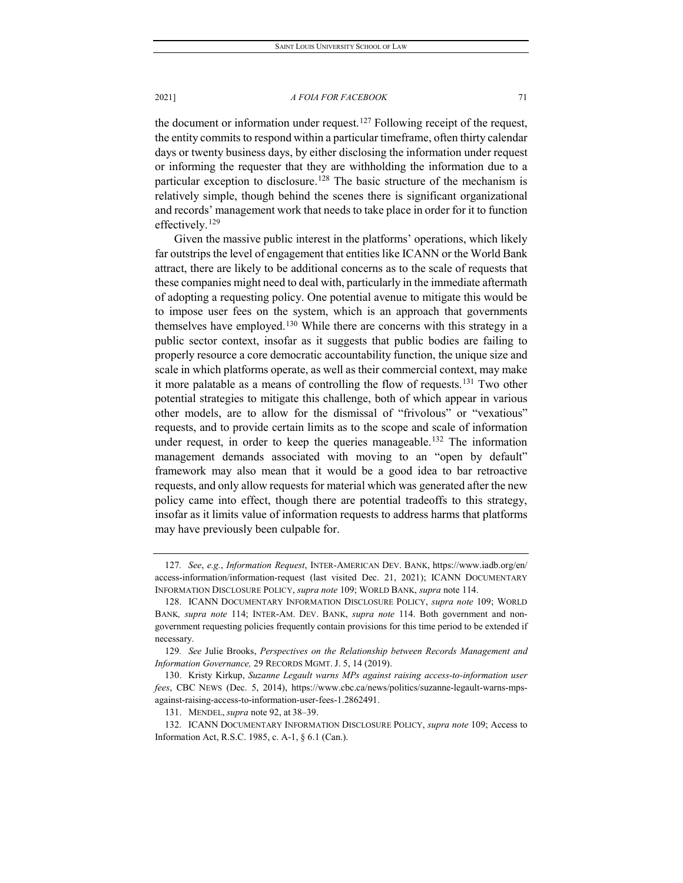the document or information under request.<sup>[127](#page-23-0)</sup> Following receipt of the request, the entity commits to respond within a particular timeframe, often thirty calendar days or twenty business days, by either disclosing the information under request or informing the requester that they are withholding the information due to a particular exception to disclosure.<sup>[128](#page-23-1)</sup> The basic structure of the mechanism is relatively simple, though behind the scenes there is significant organizational and records' management work that needs to take place in order for it to function effectively.<sup>[129](#page-23-2)</sup>

Given the massive public interest in the platforms' operations, which likely far outstrips the level of engagement that entities like ICANN or the World Bank attract, there are likely to be additional concerns as to the scale of requests that these companies might need to deal with, particularly in the immediate aftermath of adopting a requesting policy. One potential avenue to mitigate this would be to impose user fees on the system, which is an approach that governments themselves have employed.<sup>[130](#page-23-3)</sup> While there are concerns with this strategy in a public sector context, insofar as it suggests that public bodies are failing to properly resource a core democratic accountability function, the unique size and scale in which platforms operate, as well as their commercial context, may make it more palatable as a means of controlling the flow of requests.[131](#page-23-4) Two other potential strategies to mitigate this challenge, both of which appear in various other models, are to allow for the dismissal of "frivolous" or "vexatious" requests, and to provide certain limits as to the scope and scale of information under request, in order to keep the queries manageable.<sup>[132](#page-23-5)</sup> The information management demands associated with moving to an "open by default" framework may also mean that it would be a good idea to bar retroactive requests, and only allow requests for material which was generated after the new policy came into effect, though there are potential tradeoffs to this strategy, insofar as it limits value of information requests to address harms that platforms may have previously been culpable for.

<span id="page-23-0"></span><sup>127</sup>*. See*, *e.g.*, *Information Request*, INTER-AMERICAN DEV. BANK, https://www.iadb.org/en/ access-information/information-request (last visited Dec. 21, 2021); ICANN DOCUMENTARY INFORMATION DISCLOSURE POLICY, *supra note* 109; WORLD BANK, *supra* note 114.

<span id="page-23-1"></span><sup>128.</sup> ICANN DOCUMENTARY INFORMATION DISCLOSURE POLICY, *supra note* 109; WORLD BANK*, supra note* 114; INTER-AM. DEV. BANK, *supra note* 114. Both government and nongovernment requesting policies frequently contain provisions for this time period to be extended if necessary.

<span id="page-23-2"></span><sup>129</sup>*. See* Julie Brooks, *Perspectives on the Relationship between Records Management and Information Governance,* 29 RECORDS MGMT. J. 5, 14 (2019).

<span id="page-23-3"></span><sup>130.</sup> Kristy Kirkup, *Suzanne Legault warns MPs against raising access-to-information user fees*, CBC NEWS (Dec. 5, 2014), https://www.cbc.ca/news/politics/suzanne-legault-warns-mpsagainst-raising-access-to-information-user-fees-1.2862491.

<sup>131.</sup> MENDEL, *supra* note 92, at 38–39.

<span id="page-23-5"></span><span id="page-23-4"></span><sup>132.</sup> ICANN DOCUMENTARY INFORMATION DISCLOSURE POLICY, *supra note* 109; Access to Information Act, R.S.C. 1985, c. A-1, § 6.1 (Can.).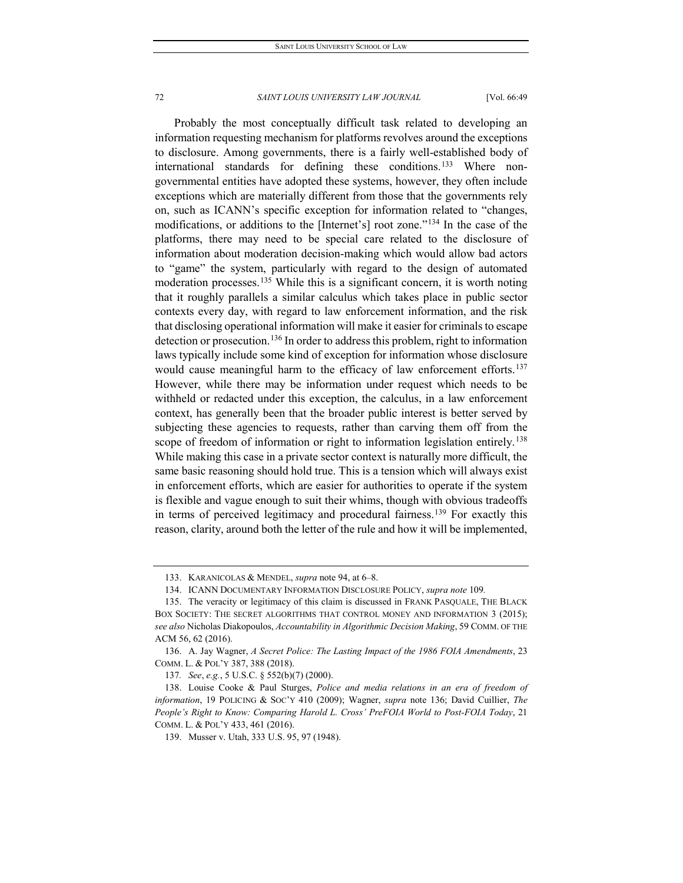Probably the most conceptually difficult task related to developing an information requesting mechanism for platforms revolves around the exceptions to disclosure. Among governments, there is a fairly well-established body of international standards for defining these conditions.[133](#page-24-0) Where nongovernmental entities have adopted these systems, however, they often include exceptions which are materially different from those that the governments rely on, such as ICANN's specific exception for information related to "changes, modifications, or additions to the [Internet's] root zone."[134](#page-24-1) In the case of the platforms, there may need to be special care related to the disclosure of information about moderation decision-making which would allow bad actors to "game" the system, particularly with regard to the design of automated moderation processes.<sup>[135](#page-24-2)</sup> While this is a significant concern, it is worth noting that it roughly parallels a similar calculus which takes place in public sector contexts every day, with regard to law enforcement information, and the risk that disclosing operational information will make it easier for criminals to escape detection or prosecution.[136](#page-24-3) In order to address this problem, right to information laws typically include some kind of exception for information whose disclosure would cause meaningful harm to the efficacy of law enforcement efforts.<sup>[137](#page-24-4)</sup> However, while there may be information under request which needs to be withheld or redacted under this exception, the calculus, in a law enforcement context, has generally been that the broader public interest is better served by subjecting these agencies to requests, rather than carving them off from the scope of freedom of information or right to information legislation entirely.<sup>[138](#page-24-5)</sup> While making this case in a private sector context is naturally more difficult, the same basic reasoning should hold true. This is a tension which will always exist in enforcement efforts, which are easier for authorities to operate if the system is flexible and vague enough to suit their whims, though with obvious tradeoffs in terms of perceived legitimacy and procedural fairness.[139](#page-24-6) For exactly this reason, clarity, around both the letter of the rule and how it will be implemented,

<sup>133.</sup> KARANICOLAS & MENDEL, *supra* note 94, at 6–8.

<sup>134.</sup> ICANN DOCUMENTARY INFORMATION DISCLOSURE POLICY, *supra note* 109*.*

<span id="page-24-2"></span><span id="page-24-1"></span><span id="page-24-0"></span><sup>135.</sup> The veracity or legitimacy of this claim is discussed in FRANK PASQUALE, THE BLACK BOX SOCIETY: THE SECRET ALGORITHMS THAT CONTROL MONEY AND INFORMATION 3 (2015); *see also* Nicholas Diakopoulos, *Accountability in Algorithmic Decision Making*, 59 COMM. OF THE ACM 56, 62 (2016).

<span id="page-24-3"></span><sup>136.</sup> A. Jay Wagner, *A Secret Police: The Lasting Impact of the 1986 FOIA Amendments*, 23 COMM. L. & POL'Y 387, 388 (2018).

<sup>137</sup>*. See*, *e.g.*, 5 U.S.C. § 552(b)(7) (2000).

<span id="page-24-6"></span><span id="page-24-5"></span><span id="page-24-4"></span><sup>138.</sup> Louise Cooke & Paul Sturges, *Police and media relations in an era of freedom of information*, 19 POLICING & SOC'Y 410 (2009); Wagner, *supra* note 136; David Cuillier, *The People's Right to Know: Comparing Harold L. Cross' PreFOIA World to Post-FOIA Today*, 21 COMM. L. & POL'Y 433, 461 (2016).

<sup>139.</sup> Musser v. Utah, 333 U.S. 95, 97 (1948).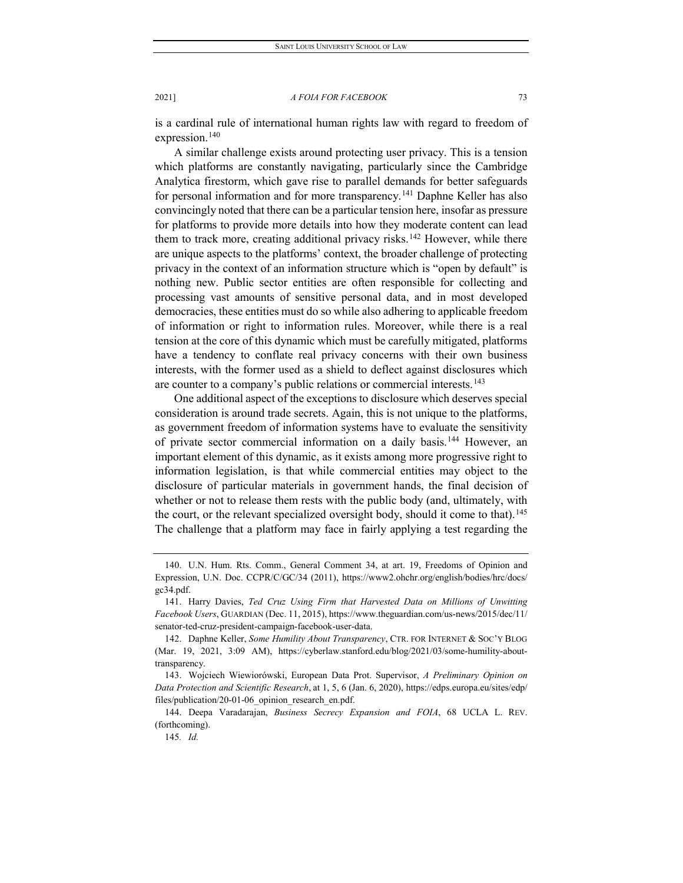is a cardinal rule of international human rights law with regard to freedom of expression.<sup>[140](#page-25-0)</sup>

A similar challenge exists around protecting user privacy. This is a tension which platforms are constantly navigating, particularly since the Cambridge Analytica firestorm, which gave rise to parallel demands for better safeguards for personal information and for more transparency.<sup>[141](#page-25-1)</sup> Daphne Keller has also convincingly noted that there can be a particular tension here, insofar as pressure for platforms to provide more details into how they moderate content can lead them to track more, creating additional privacy risks.<sup>[142](#page-25-2)</sup> However, while there are unique aspects to the platforms' context, the broader challenge of protecting privacy in the context of an information structure which is "open by default" is nothing new. Public sector entities are often responsible for collecting and processing vast amounts of sensitive personal data, and in most developed democracies, these entities must do so while also adhering to applicable freedom of information or right to information rules. Moreover, while there is a real tension at the core of this dynamic which must be carefully mitigated, platforms have a tendency to conflate real privacy concerns with their own business interests, with the former used as a shield to deflect against disclosures which are counter to a company's public relations or commercial interests.<sup>[143](#page-25-3)</sup>

One additional aspect of the exceptions to disclosure which deserves special consideration is around trade secrets. Again, this is not unique to the platforms, as government freedom of information systems have to evaluate the sensitivity of private sector commercial information on a daily basis.<sup>[144](#page-25-4)</sup> However, an important element of this dynamic, as it exists among more progressive right to information legislation, is that while commercial entities may object to the disclosure of particular materials in government hands, the final decision of whether or not to release them rests with the public body (and, ultimately, with the court, or the relevant specialized oversight body, should it come to that).<sup>[145](#page-25-5)</sup> The challenge that a platform may face in fairly applying a test regarding the

<span id="page-25-0"></span><sup>140.</sup> U.N. Hum. Rts. Comm., General Comment 34, at art. 19, Freedoms of Opinion and Expression, U.N. Doc. CCPR/C/GC/34 (2011), https://www2.ohchr.org/english/bodies/hrc/docs/ gc34.pdf.

<span id="page-25-1"></span><sup>141.</sup> Harry Davies, *Ted Cruz Using Firm that Harvested Data on Millions of Unwitting Facebook Users*, GUARDIAN (Dec. 11, 2015), https://www.theguardian.com/us-news/2015/dec/11/ senator-ted-cruz-president-campaign-facebook-user-data.

<span id="page-25-2"></span><sup>142.</sup> Daphne Keller, *Some Humility About Transparency*, CTR. FOR INTERNET & SOC'Y BLOG (Mar. 19, 2021, 3:09 AM), https://cyberlaw.stanford.edu/blog/2021/03/some-humility-abouttransparency.

<span id="page-25-3"></span><sup>143.</sup> Wojciech Wiewiorówski, European Data Prot. Supervisor, *A Preliminary Opinion on Data Protection and Scientific Research*, at 1, 5, 6 (Jan. 6, 2020), https://edps.europa.eu/sites/edp/ files/publication/20-01-06\_opinion\_research\_en.pdf.

<span id="page-25-5"></span><span id="page-25-4"></span><sup>144.</sup> Deepa Varadarajan, *Business Secrecy Expansion and FOIA*, 68 UCLA L. REV. (forthcoming).

<sup>145</sup>*. Id.*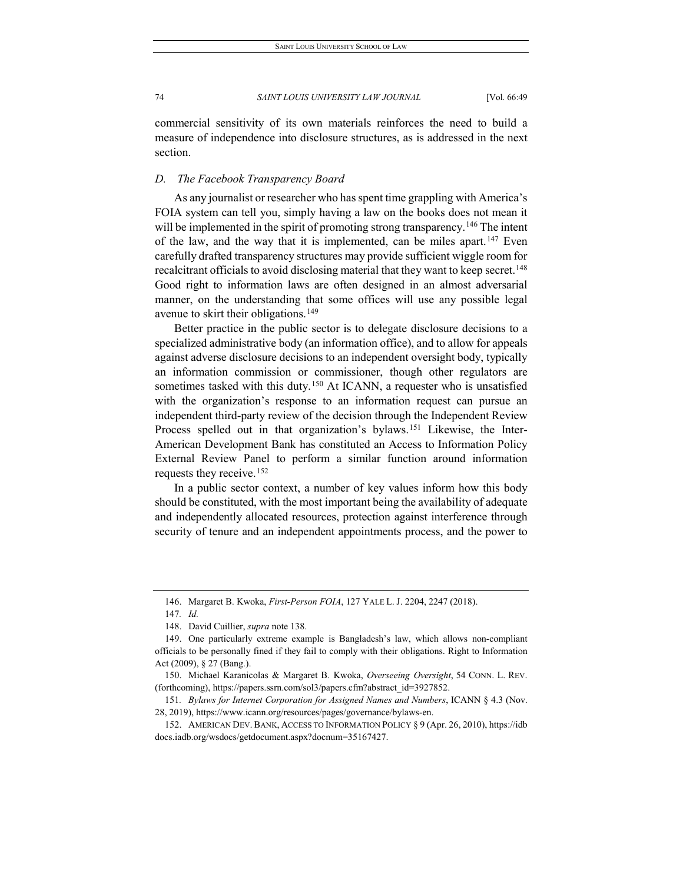commercial sensitivity of its own materials reinforces the need to build a measure of independence into disclosure structures, as is addressed in the next section.

## *D. The Facebook Transparency Board*

As any journalist or researcher who has spent time grappling with America's FOIA system can tell you, simply having a law on the books does not mean it will be implemented in the spirit of promoting strong transparency.<sup>[146](#page-26-0)</sup> The intent of the law, and the way that it is implemented, can be miles apart.<sup>[147](#page-26-1)</sup> Even carefully drafted transparency structures may provide sufficient wiggle room for recalcitrant officials to avoid disclosing material that they want to keep secret.<sup>148</sup> Good right to information laws are often designed in an almost adversarial manner, on the understanding that some offices will use any possible legal avenue to skirt their obligations.<sup>[149](#page-26-3)</sup>

Better practice in the public sector is to delegate disclosure decisions to a specialized administrative body (an information office), and to allow for appeals against adverse disclosure decisions to an independent oversight body, typically an information commission or commissioner, though other regulators are sometimes tasked with this duty.<sup>[150](#page-26-4)</sup> At ICANN, a requester who is unsatisfied with the organization's response to an information request can pursue an independent third-party review of the decision through the Independent Review Process spelled out in that organization's bylaws.<sup>[151](#page-26-5)</sup> Likewise, the Inter-American Development Bank has constituted an Access to Information Policy External Review Panel to perform a similar function around information requests they receive.[152](#page-26-6)

In a public sector context, a number of key values inform how this body should be constituted, with the most important being the availability of adequate and independently allocated resources, protection against interference through security of tenure and an independent appointments process, and the power to

<sup>146.</sup> Margaret B. Kwoka, *First-Person FOIA*, 127 YALE L. J. 2204, 2247 (2018).

<sup>147</sup>*. Id.*

<sup>148.</sup> David Cuillier, *supra* note 138.

<span id="page-26-3"></span><span id="page-26-2"></span><span id="page-26-1"></span><span id="page-26-0"></span><sup>149.</sup> One particularly extreme example is Bangladesh's law, which allows non-compliant officials to be personally fined if they fail to comply with their obligations. Right to Information Act (2009), § 27 (Bang.).

<span id="page-26-4"></span><sup>150.</sup> Michael Karanicolas & Margaret B. Kwoka, *Overseeing Oversight*, 54 CONN. L. REV. (forthcoming), https://papers.ssrn.com/sol3/papers.cfm?abstract\_id=3927852.

<span id="page-26-5"></span><sup>151</sup>*. Bylaws for Internet Corporation for Assigned Names and Numbers*, ICANN § 4.3 (Nov. 28, 2019), https://www.icann.org/resources/pages/governance/bylaws-en.

<span id="page-26-6"></span><sup>152.</sup> AMERICAN DEV. BANK, ACCESS TO INFORMATION POLICY § 9 (Apr. 26, 2010), https://idb docs.iadb.org/wsdocs/getdocument.aspx?docnum=35167427.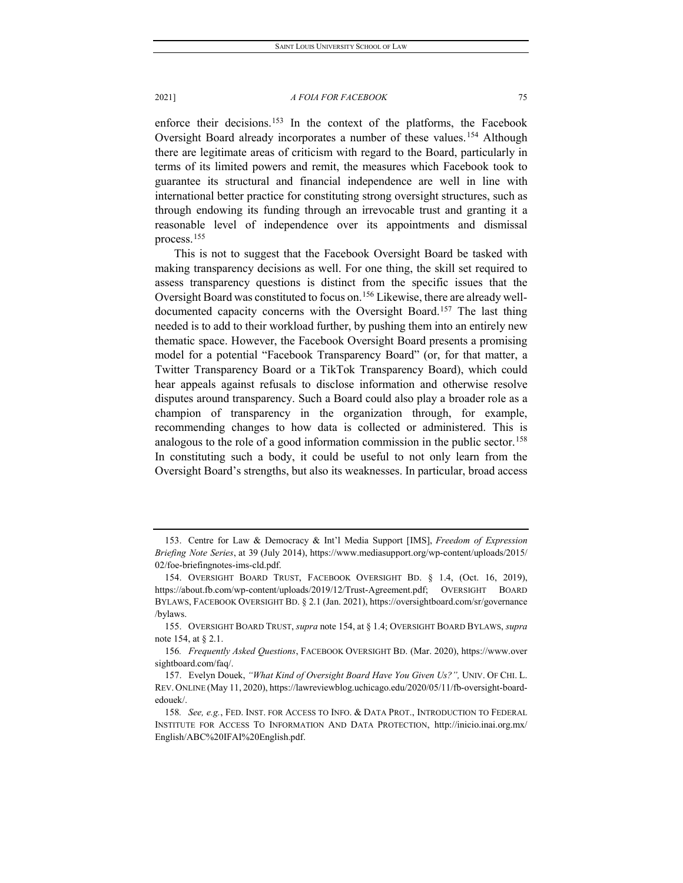enforce their decisions.[153](#page-27-0) In the context of the platforms, the Facebook Oversight Board already incorporates a number of these values.<sup>[154](#page-27-1)</sup> Although there are legitimate areas of criticism with regard to the Board, particularly in terms of its limited powers and remit, the measures which Facebook took to guarantee its structural and financial independence are well in line with international better practice for constituting strong oversight structures, such as through endowing its funding through an irrevocable trust and granting it a reasonable level of independence over its appointments and dismissal process.[155](#page-27-2)

This is not to suggest that the Facebook Oversight Board be tasked with making transparency decisions as well. For one thing, the skill set required to assess transparency questions is distinct from the specific issues that the Oversight Board was constituted to focus on.<sup>[156](#page-27-3)</sup> Likewise, there are already welldocumented capacity concerns with the Oversight Board.[157](#page-27-4) The last thing needed is to add to their workload further, by pushing them into an entirely new thematic space. However, the Facebook Oversight Board presents a promising model for a potential "Facebook Transparency Board" (or, for that matter, a Twitter Transparency Board or a TikTok Transparency Board), which could hear appeals against refusals to disclose information and otherwise resolve disputes around transparency. Such a Board could also play a broader role as a champion of transparency in the organization through, for example, recommending changes to how data is collected or administered. This is analogous to the role of a good information commission in the public sector.<sup>[158](#page-27-5)</sup> In constituting such a body, it could be useful to not only learn from the Oversight Board's strengths, but also its weaknesses. In particular, broad access

<span id="page-27-0"></span><sup>153.</sup> Centre for Law & Democracy & Int'l Media Support [IMS], *Freedom of Expression Briefing Note Series*, at 39 (July 2014), https://www.mediasupport.org/wp-content/uploads/2015/ 02/foe-briefingnotes-ims-cld.pdf.

<span id="page-27-1"></span><sup>154.</sup> OVERSIGHT BOARD TRUST, FACEBOOK OVERSIGHT BD. § 1.4, (Oct. 16, 2019), https://about.fb.com/wp-content/uploads/2019/12/Trust-Agreement.pdf; OVERSIGHT BOARD BYLAWS, FACEBOOK OVERSIGHT BD. § 2.1 (Jan. 2021), https://oversightboard.com/sr/governance /bylaws.

<span id="page-27-2"></span><sup>155.</sup> OVERSIGHT BOARD TRUST, *supra* note 154, at § 1.4; OVERSIGHT BOARD BYLAWS, *supra* note 154, at § 2.1.

<span id="page-27-3"></span><sup>156</sup>*. Frequently Asked Questions*, FACEBOOK OVERSIGHT BD. (Mar. 2020), https://www.over sightboard.com/faq/.

<span id="page-27-4"></span><sup>157.</sup> Evelyn Douek, *"What Kind of Oversight Board Have You Given Us?",* UNIV. OF CHI. L. REV. ONLINE (May 11, 2020), https://lawreviewblog.uchicago.edu/2020/05/11/fb-oversight-boardedouek/.

<span id="page-27-5"></span><sup>158</sup>*. See, e.g.*, FED. INST. FOR ACCESS TO INFO. & DATA PROT., INTRODUCTION TO FEDERAL INSTITUTE FOR ACCESS TO INFORMATION AND DATA PROTECTION, http://inicio.inai.org.mx/ English/ABC%20IFAI%20English.pdf.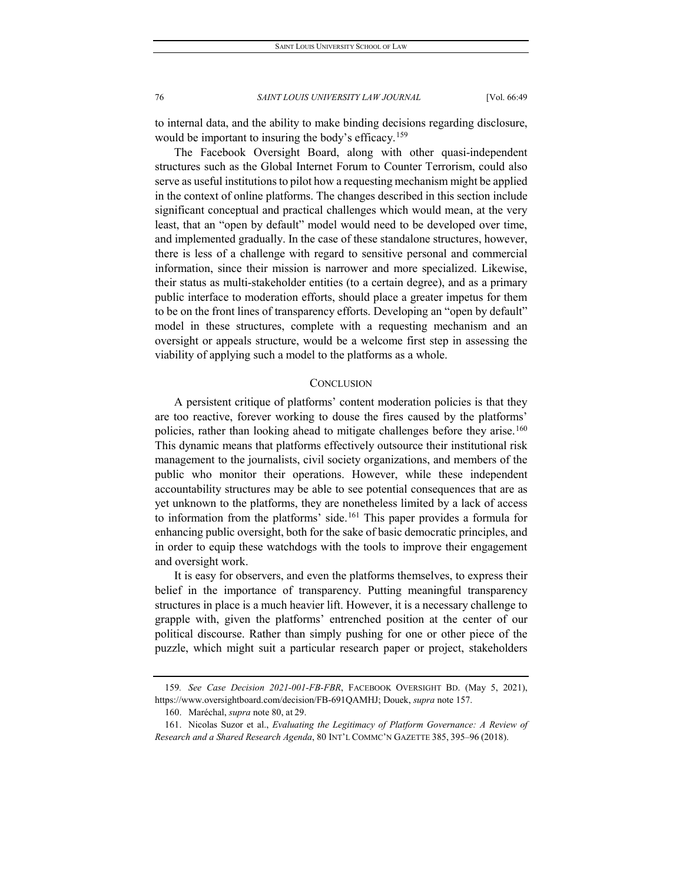to internal data, and the ability to make binding decisions regarding disclosure, would be important to insuring the body's efficacy.<sup>[159](#page-28-0)</sup>

The Facebook Oversight Board, along with other quasi-independent structures such as the Global Internet Forum to Counter Terrorism, could also serve as useful institutions to pilot how a requesting mechanism might be applied in the context of online platforms. The changes described in this section include significant conceptual and practical challenges which would mean, at the very least, that an "open by default" model would need to be developed over time, and implemented gradually. In the case of these standalone structures, however, there is less of a challenge with regard to sensitive personal and commercial information, since their mission is narrower and more specialized. Likewise, their status as multi-stakeholder entities (to a certain degree), and as a primary public interface to moderation efforts, should place a greater impetus for them to be on the front lines of transparency efforts. Developing an "open by default" model in these structures, complete with a requesting mechanism and an oversight or appeals structure, would be a welcome first step in assessing the viability of applying such a model to the platforms as a whole.

## **CONCLUSION**

A persistent critique of platforms' content moderation policies is that they are too reactive, forever working to douse the fires caused by the platforms' policies, rather than looking ahead to mitigate challenges before they arise.[160](#page-28-1) This dynamic means that platforms effectively outsource their institutional risk management to the journalists, civil society organizations, and members of the public who monitor their operations. However, while these independent accountability structures may be able to see potential consequences that are as yet unknown to the platforms, they are nonetheless limited by a lack of access to information from the platforms' side.<sup>[161](#page-28-2)</sup> This paper provides a formula for enhancing public oversight, both for the sake of basic democratic principles, and in order to equip these watchdogs with the tools to improve their engagement and oversight work.

It is easy for observers, and even the platforms themselves, to express their belief in the importance of transparency. Putting meaningful transparency structures in place is a much heavier lift. However, it is a necessary challenge to grapple with, given the platforms' entrenched position at the center of our political discourse. Rather than simply pushing for one or other piece of the puzzle, which might suit a particular research paper or project, stakeholders

<span id="page-28-0"></span><sup>159</sup>*. See Case Decision 2021-001-FB-FBR*, FACEBOOK OVERSIGHT BD. (May 5, 2021), https://www.oversightboard.com/decision/FB-691QAMHJ; Douek, *supra* note 157.

<sup>160.</sup> Maréchal, *supra* note 80, at 29.

<span id="page-28-2"></span><span id="page-28-1"></span><sup>161.</sup> Nicolas Suzor et al., *Evaluating the Legitimacy of Platform Governance: A Review of Research and a Shared Research Agenda*, 80 INT'L COMMC'N GAZETTE 385, 395–96 (2018).